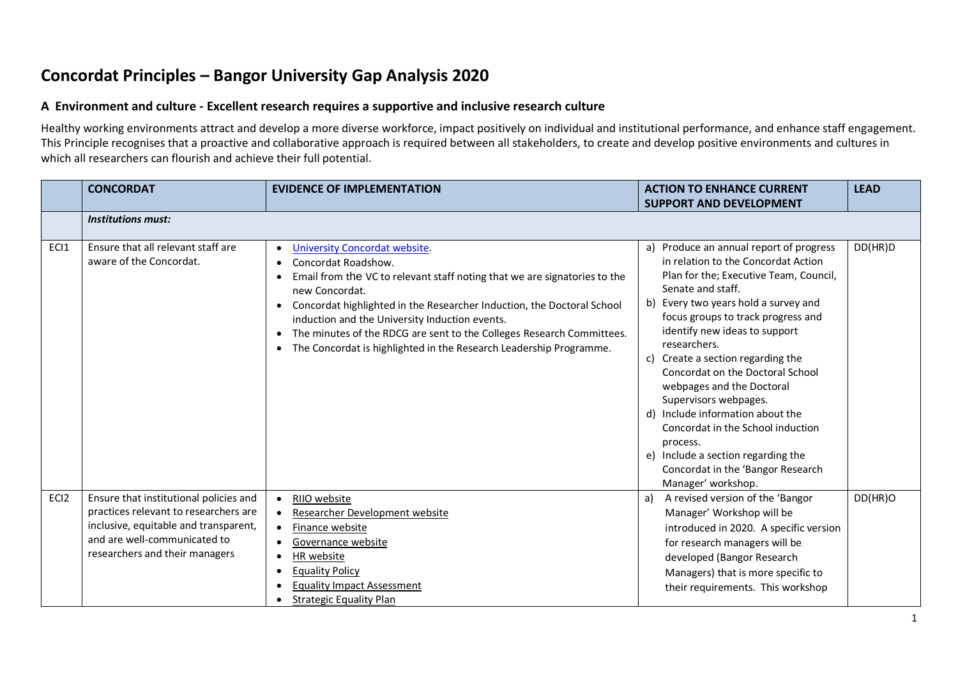# **Concordat Principles – Bangor University Gap Analysis 2020**

#### **A Environment and culture - Excellent research requires a supportive and inclusive research culture**

Healthy working environments attract and develop a more diverse workforce, impact positively on individual and institutional performance, and enhance staff engagement. This Principle recognises that a proactive and collaborative approach is required between all stakeholders, to create and develop positive environments and cultures in which all researchers can flourish and achieve their full potential.

|      | <b>CONCORDAT</b>                                                                                                                                                                           | <b>EVIDENCE OF IMPLEMENTATION</b>                                                                                                                                                                                                                                                                                                                                                                                                                                                         | <b>ACTION TO ENHANCE CURRENT</b>                                                                                                                                                                                                                                                                                                                                                                                                                                                                                                                                                                  | <b>LEAD</b> |
|------|--------------------------------------------------------------------------------------------------------------------------------------------------------------------------------------------|-------------------------------------------------------------------------------------------------------------------------------------------------------------------------------------------------------------------------------------------------------------------------------------------------------------------------------------------------------------------------------------------------------------------------------------------------------------------------------------------|---------------------------------------------------------------------------------------------------------------------------------------------------------------------------------------------------------------------------------------------------------------------------------------------------------------------------------------------------------------------------------------------------------------------------------------------------------------------------------------------------------------------------------------------------------------------------------------------------|-------------|
|      |                                                                                                                                                                                            |                                                                                                                                                                                                                                                                                                                                                                                                                                                                                           | <b>SUPPORT AND DEVELOPMENT</b>                                                                                                                                                                                                                                                                                                                                                                                                                                                                                                                                                                    |             |
|      | <b>Institutions must:</b>                                                                                                                                                                  |                                                                                                                                                                                                                                                                                                                                                                                                                                                                                           |                                                                                                                                                                                                                                                                                                                                                                                                                                                                                                                                                                                                   |             |
| ECI1 | Ensure that all relevant staff are<br>aware of the Concordat.                                                                                                                              | <b>University Concordat website.</b><br>$\bullet$<br>Concordat Roadshow.<br>$\bullet$<br>Email from the VC to relevant staff noting that we are signatories to the<br>new Concordat.<br>Concordat highlighted in the Researcher Induction, the Doctoral School<br>$\bullet$<br>induction and the University Induction events.<br>The minutes of the RDCG are sent to the Colleges Research Committees.<br>$\bullet$<br>The Concordat is highlighted in the Research Leadership Programme. | a) Produce an annual report of progress<br>in relation to the Concordat Action<br>Plan for the; Executive Team, Council,<br>Senate and staff.<br>b) Every two years hold a survey and<br>focus groups to track progress and<br>identify new ideas to support<br>researchers.<br>c) Create a section regarding the<br>Concordat on the Doctoral School<br>webpages and the Doctoral<br>Supervisors webpages.<br>d) Include information about the<br>Concordat in the School induction<br>process.<br>e) Include a section regarding the<br>Concordat in the 'Bangor Research<br>Manager' workshop. | DD(HR)D     |
| ECI2 | Ensure that institutional policies and<br>practices relevant to researchers are<br>inclusive, equitable and transparent,<br>and are well-communicated to<br>researchers and their managers | RIIO website<br>$\bullet$<br>Researcher Development website<br>$\bullet$<br>Finance website<br>$\bullet$<br>Governance website<br>$\bullet$<br>HR website<br>$\bullet$<br><b>Equality Policy</b><br>$\bullet$<br><b>Equality Impact Assessment</b><br><b>Strategic Equality Plan</b><br>٠                                                                                                                                                                                                 | A revised version of the 'Bangor<br>a)<br>Manager' Workshop will be<br>introduced in 2020. A specific version<br>for research managers will be<br>developed (Bangor Research<br>Managers) that is more specific to<br>their requirements. This workshop                                                                                                                                                                                                                                                                                                                                           | DD(HR)O     |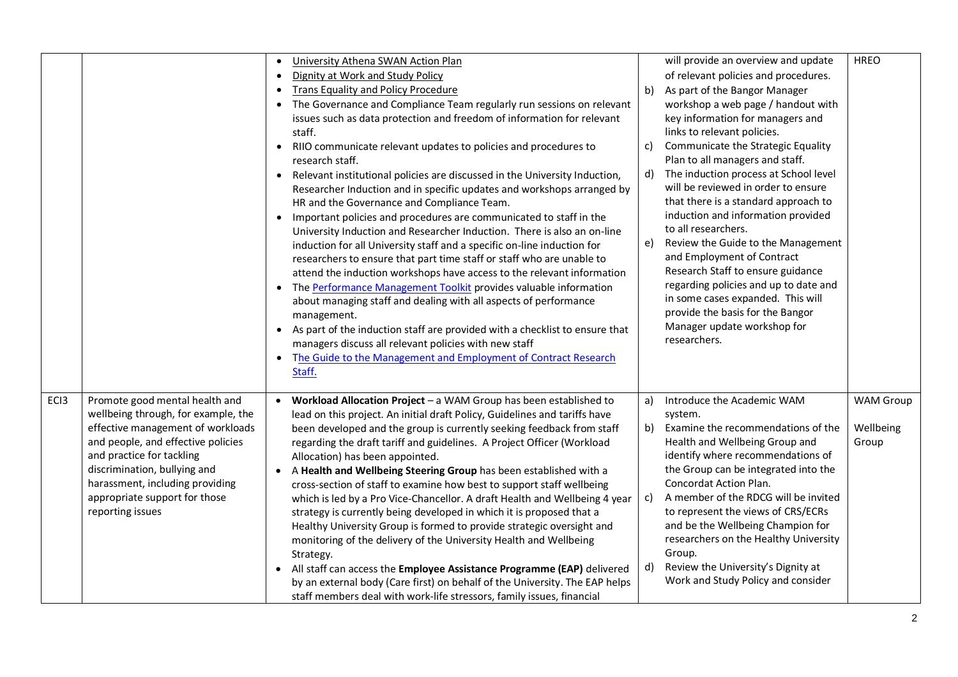|                  |                                                                                                                                                                                                                                                                                                       | University Athena SWAN Action Plan<br>$\bullet$<br>Dignity at Work and Study Policy<br>$\bullet$<br><b>Trans Equality and Policy Procedure</b><br>$\bullet$<br>The Governance and Compliance Team regularly run sessions on relevant<br>$\bullet$<br>issues such as data protection and freedom of information for relevant<br>staff.<br>RIIO communicate relevant updates to policies and procedures to<br>$\bullet$<br>research staff.<br>Relevant institutional policies are discussed in the University Induction,<br>$\bullet$<br>Researcher Induction and in specific updates and workshops arranged by<br>HR and the Governance and Compliance Team.<br>Important policies and procedures are communicated to staff in the<br>$\bullet$<br>University Induction and Researcher Induction. There is also an on-line<br>induction for all University staff and a specific on-line induction for<br>researchers to ensure that part time staff or staff who are unable to<br>attend the induction workshops have access to the relevant information<br>The Performance Management Toolkit provides valuable information<br>$\bullet$<br>about managing staff and dealing with all aspects of performance<br>management.<br>As part of the induction staff are provided with a checklist to ensure that<br>$\bullet$<br>managers discuss all relevant policies with new staff<br>The Guide to the Management and Employment of Contract Research<br>$\bullet$<br>Staff. | C)<br>d)<br>e)       | will provide an overview and update<br>of relevant policies and procedures.<br>b) As part of the Bangor Manager<br>workshop a web page / handout with<br>key information for managers and<br>links to relevant policies.<br>Communicate the Strategic Equality<br>Plan to all managers and staff.<br>The induction process at School level<br>will be reviewed in order to ensure<br>that there is a standard approach to<br>induction and information provided<br>to all researchers.<br>Review the Guide to the Management<br>and Employment of Contract<br>Research Staff to ensure guidance<br>regarding policies and up to date and<br>in some cases expanded. This will<br>provide the basis for the Bangor<br>Manager update workshop for<br>researchers. | <b>HREO</b>                            |
|------------------|-------------------------------------------------------------------------------------------------------------------------------------------------------------------------------------------------------------------------------------------------------------------------------------------------------|----------------------------------------------------------------------------------------------------------------------------------------------------------------------------------------------------------------------------------------------------------------------------------------------------------------------------------------------------------------------------------------------------------------------------------------------------------------------------------------------------------------------------------------------------------------------------------------------------------------------------------------------------------------------------------------------------------------------------------------------------------------------------------------------------------------------------------------------------------------------------------------------------------------------------------------------------------------------------------------------------------------------------------------------------------------------------------------------------------------------------------------------------------------------------------------------------------------------------------------------------------------------------------------------------------------------------------------------------------------------------------------------------------------------------------------------------------------------------|----------------------|------------------------------------------------------------------------------------------------------------------------------------------------------------------------------------------------------------------------------------------------------------------------------------------------------------------------------------------------------------------------------------------------------------------------------------------------------------------------------------------------------------------------------------------------------------------------------------------------------------------------------------------------------------------------------------------------------------------------------------------------------------------|----------------------------------------|
| EC <sub>13</sub> | Promote good mental health and<br>wellbeing through, for example, the<br>effective management of workloads<br>and people, and effective policies<br>and practice for tackling<br>discrimination, bullying and<br>harassment, including providing<br>appropriate support for those<br>reporting issues | Workload Allocation Project $-$ a WAM Group has been established to<br>$\bullet$<br>lead on this project. An initial draft Policy, Guidelines and tariffs have<br>been developed and the group is currently seeking feedback from staff<br>regarding the draft tariff and guidelines. A Project Officer (Workload<br>Allocation) has been appointed.<br>A Health and Wellbeing Steering Group has been established with a<br>$\bullet$<br>cross-section of staff to examine how best to support staff wellbeing<br>which is led by a Pro Vice-Chancellor. A draft Health and Wellbeing 4 year<br>strategy is currently being developed in which it is proposed that a<br>Healthy University Group is formed to provide strategic oversight and<br>monitoring of the delivery of the University Health and Wellbeing<br>Strategy.<br>All staff can access the Employee Assistance Programme (EAP) delivered<br>$\bullet$<br>by an external body (Care first) on behalf of the University. The EAP helps<br>staff members deal with work-life stressors, family issues, financial                                                                                                                                                                                                                                                                                                                                                                                            | a)<br>b)<br>c)<br>d) | Introduce the Academic WAM<br>system.<br>Examine the recommendations of the<br>Health and Wellbeing Group and<br>identify where recommendations of<br>the Group can be integrated into the<br>Concordat Action Plan.<br>A member of the RDCG will be invited<br>to represent the views of CRS/ECRs<br>and be the Wellbeing Champion for<br>researchers on the Healthy University<br>Group.<br>Review the University's Dignity at<br>Work and Study Policy and consider                                                                                                                                                                                                                                                                                           | <b>WAM Group</b><br>Wellbeing<br>Group |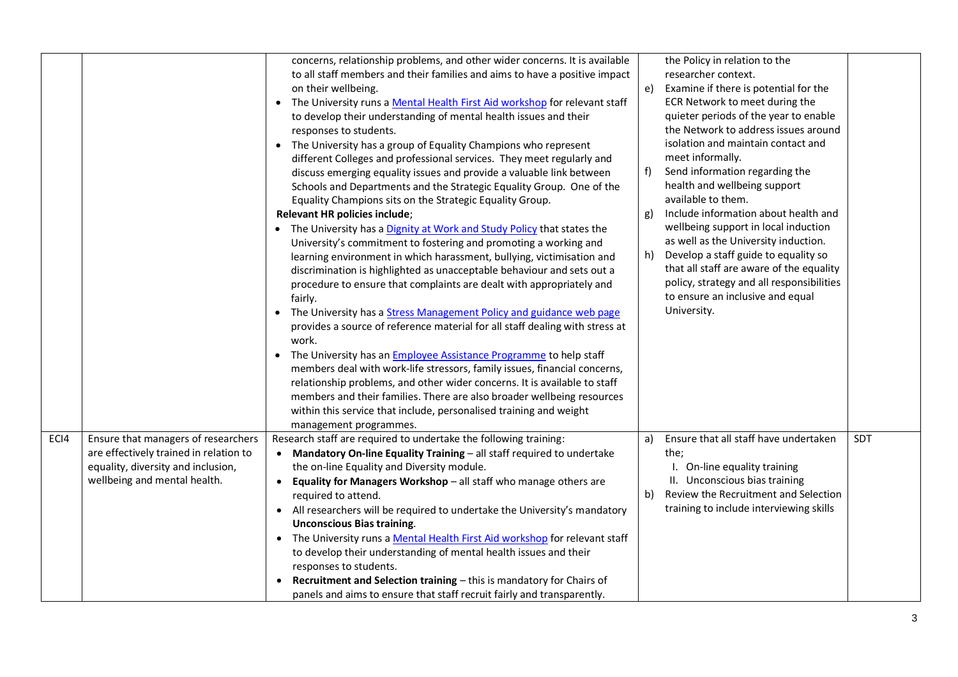|      |                                                                                                                                                     | concerns, relationship problems, and other wider concerns. It is available<br>to all staff members and their families and aims to have a positive impact<br>on their wellbeing.<br>• The University runs a Mental Health First Aid workshop for relevant staff<br>to develop their understanding of mental health issues and their<br>responses to students.<br>• The University has a group of Equality Champions who represent<br>different Colleges and professional services. They meet regularly and<br>discuss emerging equality issues and provide a valuable link between<br>Schools and Departments and the Strategic Equality Group. One of the<br>Equality Champions sits on the Strategic Equality Group.<br>Relevant HR policies include;<br>• The University has a Dignity at Work and Study Policy that states the<br>University's commitment to fostering and promoting a working and<br>learning environment in which harassment, bullying, victimisation and<br>discrimination is highlighted as unacceptable behaviour and sets out a<br>procedure to ensure that complaints are dealt with appropriately and<br>fairly.<br>• The University has a Stress Management Policy and guidance web page<br>provides a source of reference material for all staff dealing with stress at<br>work.<br>• The University has an <b>Employee Assistance Programme</b> to help staff<br>members deal with work-life stressors, family issues, financial concerns,<br>relationship problems, and other wider concerns. It is available to staff<br>members and their families. There are also broader wellbeing resources<br>within this service that include, personalised training and weight<br>management programmes. | e)<br>f)<br>g)<br>h) | the Policy in relation to the<br>researcher context.<br>Examine if there is potential for the<br>ECR Network to meet during the<br>quieter periods of the year to enable<br>the Network to address issues around<br>isolation and maintain contact and<br>meet informally.<br>Send information regarding the<br>health and wellbeing support<br>available to them.<br>Include information about health and<br>wellbeing support in local induction<br>as well as the University induction.<br>Develop a staff guide to equality so<br>that all staff are aware of the equality<br>policy, strategy and all responsibilities<br>to ensure an inclusive and equal<br>University. |     |
|------|-----------------------------------------------------------------------------------------------------------------------------------------------------|---------------------------------------------------------------------------------------------------------------------------------------------------------------------------------------------------------------------------------------------------------------------------------------------------------------------------------------------------------------------------------------------------------------------------------------------------------------------------------------------------------------------------------------------------------------------------------------------------------------------------------------------------------------------------------------------------------------------------------------------------------------------------------------------------------------------------------------------------------------------------------------------------------------------------------------------------------------------------------------------------------------------------------------------------------------------------------------------------------------------------------------------------------------------------------------------------------------------------------------------------------------------------------------------------------------------------------------------------------------------------------------------------------------------------------------------------------------------------------------------------------------------------------------------------------------------------------------------------------------------------------------------------------------------------------------------------------------------------------|----------------------|--------------------------------------------------------------------------------------------------------------------------------------------------------------------------------------------------------------------------------------------------------------------------------------------------------------------------------------------------------------------------------------------------------------------------------------------------------------------------------------------------------------------------------------------------------------------------------------------------------------------------------------------------------------------------------|-----|
| ECI4 | Ensure that managers of researchers<br>are effectively trained in relation to<br>equality, diversity and inclusion,<br>wellbeing and mental health. | Research staff are required to undertake the following training:<br>Mandatory On-line Equality Training - all staff required to undertake<br>$\bullet$<br>the on-line Equality and Diversity module.<br>Equality for Managers Workshop - all staff who manage others are<br>$\bullet$<br>required to attend.<br>• All researchers will be required to undertake the University's mandatory<br><b>Unconscious Bias training.</b><br>• The University runs a Mental Health First Aid workshop for relevant staff<br>to develop their understanding of mental health issues and their<br>responses to students.<br>Recruitment and Selection training - this is mandatory for Chairs of<br>panels and aims to ensure that staff recruit fairly and transparently.                                                                                                                                                                                                                                                                                                                                                                                                                                                                                                                                                                                                                                                                                                                                                                                                                                                                                                                                                                  | a)<br>b)             | Ensure that all staff have undertaken<br>the;<br>I. On-line equality training<br>II. Unconscious bias training<br>Review the Recruitment and Selection<br>training to include interviewing skills                                                                                                                                                                                                                                                                                                                                                                                                                                                                              | SDT |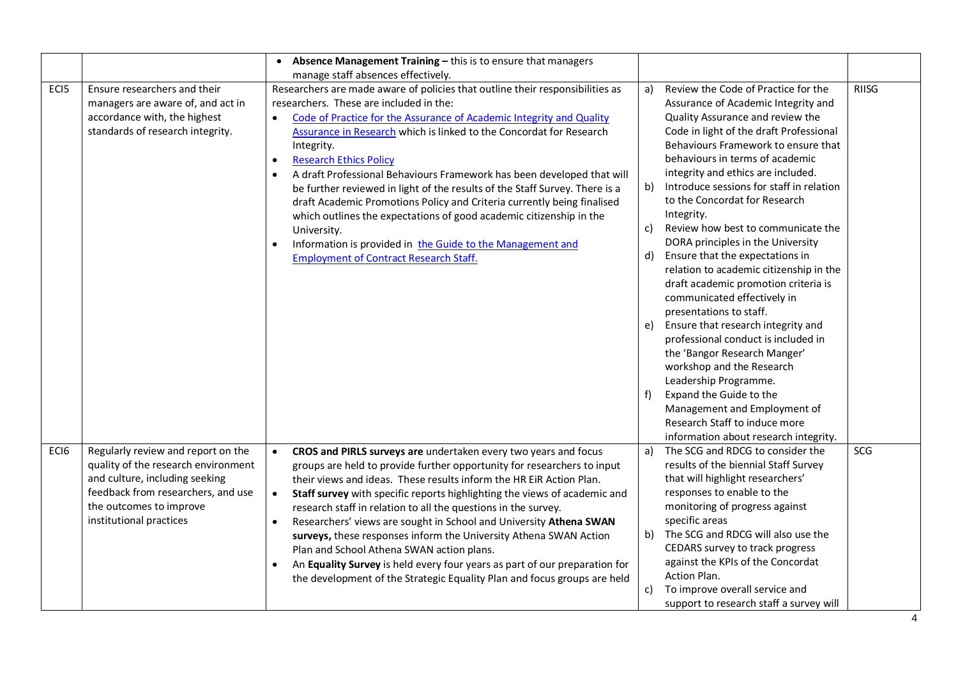|                  |                                                                                                                                                                                                         | • Absence Management Training - this is to ensure that managers                                                                                                                                                                                                                                                                                                                                                                                                                                                                                                                                                                                                                                                                                                                                        |                                  |                                                                                                                                                                                                                                                                                                                                                                                                                                                                                                                                                                                                                                                                                                                                                                                                                                                                                                                                         |              |
|------------------|---------------------------------------------------------------------------------------------------------------------------------------------------------------------------------------------------------|--------------------------------------------------------------------------------------------------------------------------------------------------------------------------------------------------------------------------------------------------------------------------------------------------------------------------------------------------------------------------------------------------------------------------------------------------------------------------------------------------------------------------------------------------------------------------------------------------------------------------------------------------------------------------------------------------------------------------------------------------------------------------------------------------------|----------------------------------|-----------------------------------------------------------------------------------------------------------------------------------------------------------------------------------------------------------------------------------------------------------------------------------------------------------------------------------------------------------------------------------------------------------------------------------------------------------------------------------------------------------------------------------------------------------------------------------------------------------------------------------------------------------------------------------------------------------------------------------------------------------------------------------------------------------------------------------------------------------------------------------------------------------------------------------------|--------------|
|                  |                                                                                                                                                                                                         | manage staff absences effectively.                                                                                                                                                                                                                                                                                                                                                                                                                                                                                                                                                                                                                                                                                                                                                                     |                                  |                                                                                                                                                                                                                                                                                                                                                                                                                                                                                                                                                                                                                                                                                                                                                                                                                                                                                                                                         |              |
| EC <sub>I5</sub> | Ensure researchers and their<br>managers are aware of, and act in<br>accordance with, the highest<br>standards of research integrity.                                                                   | Researchers are made aware of policies that outline their responsibilities as<br>researchers. These are included in the:<br>Code of Practice for the Assurance of Academic Integrity and Quality<br>$\bullet$<br>Assurance in Research which is linked to the Concordat for Research<br>Integrity.<br><b>Research Ethics Policy</b><br>$\bullet$<br>A draft Professional Behaviours Framework has been developed that will<br>be further reviewed in light of the results of the Staff Survey. There is a<br>draft Academic Promotions Policy and Criteria currently being finalised<br>which outlines the expectations of good academic citizenship in the<br>University.<br>Information is provided in the Guide to the Management and<br>$\bullet$<br><b>Employment of Contract Research Staff.</b> | a)<br>b)<br>c)<br>d)<br>e)<br>f) | Review the Code of Practice for the<br>Assurance of Academic Integrity and<br>Quality Assurance and review the<br>Code in light of the draft Professional<br>Behaviours Framework to ensure that<br>behaviours in terms of academic<br>integrity and ethics are included.<br>Introduce sessions for staff in relation<br>to the Concordat for Research<br>Integrity.<br>Review how best to communicate the<br>DORA principles in the University<br>Ensure that the expectations in<br>relation to academic citizenship in the<br>draft academic promotion criteria is<br>communicated effectively in<br>presentations to staff.<br>Ensure that research integrity and<br>professional conduct is included in<br>the 'Bangor Research Manger'<br>workshop and the Research<br>Leadership Programme.<br>Expand the Guide to the<br>Management and Employment of<br>Research Staff to induce more<br>information about research integrity. | <b>RIISG</b> |
| ECI6             | Regularly review and report on the<br>quality of the research environment<br>and culture, including seeking<br>feedback from researchers, and use<br>the outcomes to improve<br>institutional practices | CROS and PIRLS surveys are undertaken every two years and focus<br>$\bullet$<br>groups are held to provide further opportunity for researchers to input<br>their views and ideas. These results inform the HR EiR Action Plan.<br>Staff survey with specific reports highlighting the views of academic and<br>$\bullet$<br>research staff in relation to all the questions in the survey.<br>Researchers' views are sought in School and University Athena SWAN<br>surveys, these responses inform the University Athena SWAN Action<br>Plan and School Athena SWAN action plans.<br>An Equality Survey is held every four years as part of our preparation for<br>$\bullet$<br>the development of the Strategic Equality Plan and focus groups are held                                              | a)<br>c)                         | The SCG and RDCG to consider the<br>results of the biennial Staff Survey<br>that will highlight researchers'<br>responses to enable to the<br>monitoring of progress against<br>specific areas<br>b) The SCG and RDCG will also use the<br>CEDARS survey to track progress<br>against the KPIs of the Concordat<br>Action Plan.<br>To improve overall service and<br>support to research staff a survey will                                                                                                                                                                                                                                                                                                                                                                                                                                                                                                                            | SCG          |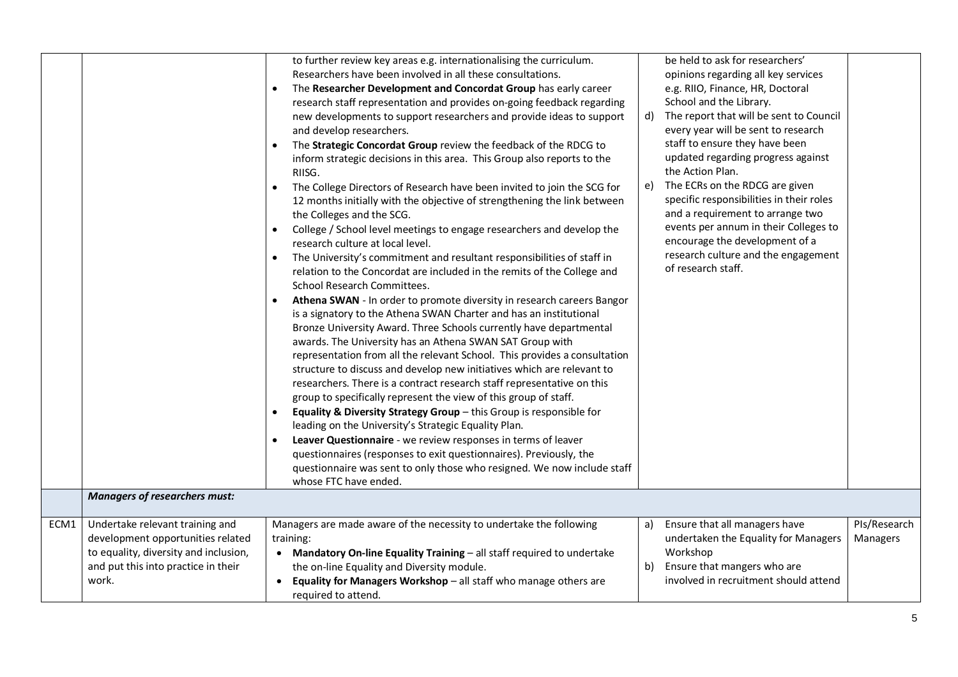|      |                                       | to further review key areas e.g. internationalising the curriculum.<br>Researchers have been involved in all these consultations.<br>The Researcher Development and Concordat Group has early career<br>research staff representation and provides on-going feedback regarding<br>new developments to support researchers and provide ideas to support<br>and develop researchers.<br>The Strategic Concordat Group review the feedback of the RDCG to<br>inform strategic decisions in this area. This Group also reports to the<br>RIISG.<br>The College Directors of Research have been invited to join the SCG for<br>12 months initially with the objective of strengthening the link between<br>the Colleges and the SCG.<br>College / School level meetings to engage researchers and develop the<br>$\bullet$<br>research culture at local level.<br>The University's commitment and resultant responsibilities of staff in<br>relation to the Concordat are included in the remits of the College and<br>School Research Committees.<br>Athena SWAN - In order to promote diversity in research careers Bangor<br>is a signatory to the Athena SWAN Charter and has an institutional<br>Bronze University Award. Three Schools currently have departmental<br>awards. The University has an Athena SWAN SAT Group with<br>representation from all the relevant School. This provides a consultation<br>structure to discuss and develop new initiatives which are relevant to<br>researchers. There is a contract research staff representative on this<br>group to specifically represent the view of this group of staff.<br>Equality & Diversity Strategy Group $-$ this Group is responsible for<br>leading on the University's Strategic Equality Plan.<br>Leaver Questionnaire - we review responses in terms of leaver<br>questionnaires (responses to exit questionnaires). Previously, the<br>questionnaire was sent to only those who resigned. We now include staff<br>whose FTC have ended. |    | be held to ask for researchers'<br>opinions regarding all key services<br>e.g. RIIO, Finance, HR, Doctoral<br>School and the Library.<br>d) The report that will be sent to Council<br>every year will be sent to research<br>staff to ensure they have been<br>updated regarding progress against<br>the Action Plan.<br>e) The ECRs on the RDCG are given<br>specific responsibilities in their roles<br>and a requirement to arrange two<br>events per annum in their Colleges to<br>encourage the development of a<br>research culture and the engagement<br>of research staff. |              |
|------|---------------------------------------|------------------------------------------------------------------------------------------------------------------------------------------------------------------------------------------------------------------------------------------------------------------------------------------------------------------------------------------------------------------------------------------------------------------------------------------------------------------------------------------------------------------------------------------------------------------------------------------------------------------------------------------------------------------------------------------------------------------------------------------------------------------------------------------------------------------------------------------------------------------------------------------------------------------------------------------------------------------------------------------------------------------------------------------------------------------------------------------------------------------------------------------------------------------------------------------------------------------------------------------------------------------------------------------------------------------------------------------------------------------------------------------------------------------------------------------------------------------------------------------------------------------------------------------------------------------------------------------------------------------------------------------------------------------------------------------------------------------------------------------------------------------------------------------------------------------------------------------------------------------------------------------------------------------------------------------------------------------------------------------------------------------|----|-------------------------------------------------------------------------------------------------------------------------------------------------------------------------------------------------------------------------------------------------------------------------------------------------------------------------------------------------------------------------------------------------------------------------------------------------------------------------------------------------------------------------------------------------------------------------------------|--------------|
|      | <b>Managers of researchers must:</b>  |                                                                                                                                                                                                                                                                                                                                                                                                                                                                                                                                                                                                                                                                                                                                                                                                                                                                                                                                                                                                                                                                                                                                                                                                                                                                                                                                                                                                                                                                                                                                                                                                                                                                                                                                                                                                                                                                                                                                                                                                                  |    |                                                                                                                                                                                                                                                                                                                                                                                                                                                                                                                                                                                     |              |
| ECM1 | Undertake relevant training and       | Managers are made aware of the necessity to undertake the following                                                                                                                                                                                                                                                                                                                                                                                                                                                                                                                                                                                                                                                                                                                                                                                                                                                                                                                                                                                                                                                                                                                                                                                                                                                                                                                                                                                                                                                                                                                                                                                                                                                                                                                                                                                                                                                                                                                                              | a) | Ensure that all managers have                                                                                                                                                                                                                                                                                                                                                                                                                                                                                                                                                       | PIs/Research |
|      | development opportunities related     | training:                                                                                                                                                                                                                                                                                                                                                                                                                                                                                                                                                                                                                                                                                                                                                                                                                                                                                                                                                                                                                                                                                                                                                                                                                                                                                                                                                                                                                                                                                                                                                                                                                                                                                                                                                                                                                                                                                                                                                                                                        |    | undertaken the Equality for Managers                                                                                                                                                                                                                                                                                                                                                                                                                                                                                                                                                | Managers     |
|      | to equality, diversity and inclusion, | • Mandatory On-line Equality Training - all staff required to undertake                                                                                                                                                                                                                                                                                                                                                                                                                                                                                                                                                                                                                                                                                                                                                                                                                                                                                                                                                                                                                                                                                                                                                                                                                                                                                                                                                                                                                                                                                                                                                                                                                                                                                                                                                                                                                                                                                                                                          |    | Workshop                                                                                                                                                                                                                                                                                                                                                                                                                                                                                                                                                                            |              |
|      | and put this into practice in their   | the on-line Equality and Diversity module.                                                                                                                                                                                                                                                                                                                                                                                                                                                                                                                                                                                                                                                                                                                                                                                                                                                                                                                                                                                                                                                                                                                                                                                                                                                                                                                                                                                                                                                                                                                                                                                                                                                                                                                                                                                                                                                                                                                                                                       |    | b) Ensure that mangers who are                                                                                                                                                                                                                                                                                                                                                                                                                                                                                                                                                      |              |
|      | work.                                 | Equality for Managers Workshop $-$ all staff who manage others are                                                                                                                                                                                                                                                                                                                                                                                                                                                                                                                                                                                                                                                                                                                                                                                                                                                                                                                                                                                                                                                                                                                                                                                                                                                                                                                                                                                                                                                                                                                                                                                                                                                                                                                                                                                                                                                                                                                                               |    | involved in recruitment should attend                                                                                                                                                                                                                                                                                                                                                                                                                                                                                                                                               |              |
|      |                                       | required to attend.                                                                                                                                                                                                                                                                                                                                                                                                                                                                                                                                                                                                                                                                                                                                                                                                                                                                                                                                                                                                                                                                                                                                                                                                                                                                                                                                                                                                                                                                                                                                                                                                                                                                                                                                                                                                                                                                                                                                                                                              |    |                                                                                                                                                                                                                                                                                                                                                                                                                                                                                                                                                                                     |              |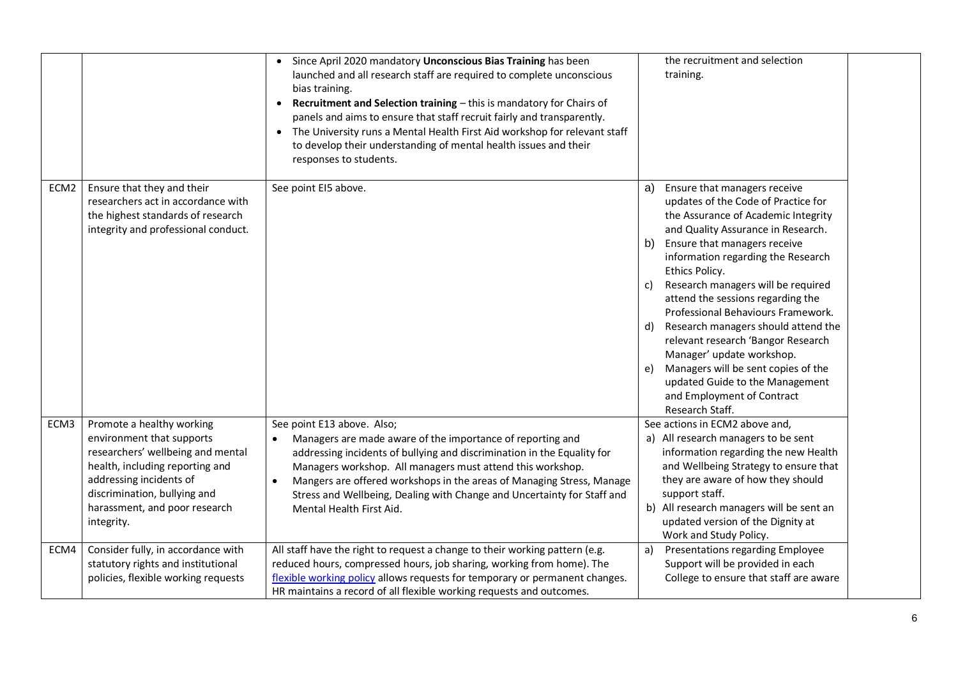|                  |                                                                                                                                                                                                                                          | • Since April 2020 mandatory Unconscious Bias Training has been<br>launched and all research staff are required to complete unconscious<br>bias training.<br>Recruitment and Selection training - this is mandatory for Chairs of<br>panels and aims to ensure that staff recruit fairly and transparently.<br>The University runs a Mental Health First Aid workshop for relevant staff<br>to develop their understanding of mental health issues and their<br>responses to students. | the recruitment and selection<br>training.                                                                                                                                                                                                                                                                                                                                                                                                                                                                                                                                                                                   |
|------------------|------------------------------------------------------------------------------------------------------------------------------------------------------------------------------------------------------------------------------------------|----------------------------------------------------------------------------------------------------------------------------------------------------------------------------------------------------------------------------------------------------------------------------------------------------------------------------------------------------------------------------------------------------------------------------------------------------------------------------------------|------------------------------------------------------------------------------------------------------------------------------------------------------------------------------------------------------------------------------------------------------------------------------------------------------------------------------------------------------------------------------------------------------------------------------------------------------------------------------------------------------------------------------------------------------------------------------------------------------------------------------|
| ECM <sub>2</sub> | Ensure that they and their<br>researchers act in accordance with<br>the highest standards of research<br>integrity and professional conduct.                                                                                             | See point EI5 above.                                                                                                                                                                                                                                                                                                                                                                                                                                                                   | Ensure that managers receive<br>a)<br>updates of the Code of Practice for<br>the Assurance of Academic Integrity<br>and Quality Assurance in Research.<br>Ensure that managers receive<br>b)<br>information regarding the Research<br>Ethics Policy.<br>Research managers will be required<br>c)<br>attend the sessions regarding the<br>Professional Behaviours Framework.<br>Research managers should attend the<br>d)<br>relevant research 'Bangor Research<br>Manager' update workshop.<br>Managers will be sent copies of the<br>e)<br>updated Guide to the Management<br>and Employment of Contract<br>Research Staff. |
| ECM3             | Promote a healthy working<br>environment that supports<br>researchers' wellbeing and mental<br>health, including reporting and<br>addressing incidents of<br>discrimination, bullying and<br>harassment, and poor research<br>integrity. | See point E13 above. Also;<br>Managers are made aware of the importance of reporting and<br>addressing incidents of bullying and discrimination in the Equality for<br>Managers workshop. All managers must attend this workshop.<br>Mangers are offered workshops in the areas of Managing Stress, Manage<br>Stress and Wellbeing, Dealing with Change and Uncertainty for Staff and<br>Mental Health First Aid.                                                                      | See actions in ECM2 above and,<br>a) All research managers to be sent<br>information regarding the new Health<br>and Wellbeing Strategy to ensure that<br>they are aware of how they should<br>support staff.<br>b) All research managers will be sent an<br>updated version of the Dignity at<br>Work and Study Policy.                                                                                                                                                                                                                                                                                                     |
| ECM4             | Consider fully, in accordance with<br>statutory rights and institutional<br>policies, flexible working requests                                                                                                                          | All staff have the right to request a change to their working pattern (e.g.<br>reduced hours, compressed hours, job sharing, working from home). The<br>flexible working policy allows requests for temporary or permanent changes.<br>HR maintains a record of all flexible working requests and outcomes.                                                                                                                                                                            | Presentations regarding Employee<br>a)<br>Support will be provided in each<br>College to ensure that staff are aware                                                                                                                                                                                                                                                                                                                                                                                                                                                                                                         |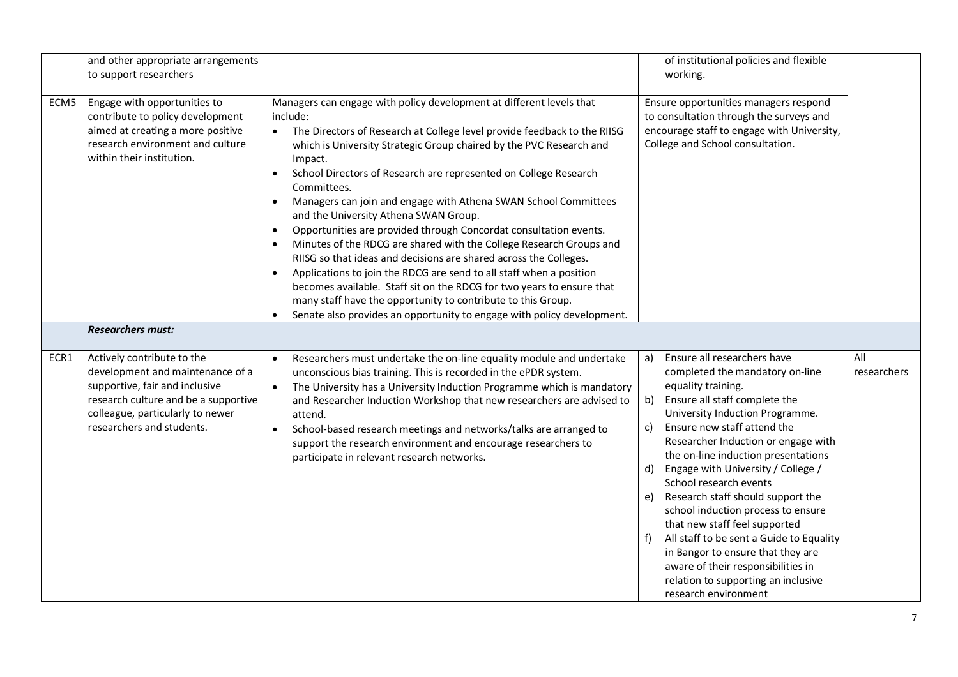|      | and other appropriate arrangements<br>to support researchers                                                                                                                                              |                                                                                                                                                                                                                                                                                                                                                                                                                                                                                                                                                                                                                                                                                                                                                                                                                                                                                                                                                                                                 | of institutional policies and flexible<br>working.                                                                                                                                                                                                                                                                                                                                                                                                                                                                                                                                                                                                                    |                    |
|------|-----------------------------------------------------------------------------------------------------------------------------------------------------------------------------------------------------------|-------------------------------------------------------------------------------------------------------------------------------------------------------------------------------------------------------------------------------------------------------------------------------------------------------------------------------------------------------------------------------------------------------------------------------------------------------------------------------------------------------------------------------------------------------------------------------------------------------------------------------------------------------------------------------------------------------------------------------------------------------------------------------------------------------------------------------------------------------------------------------------------------------------------------------------------------------------------------------------------------|-----------------------------------------------------------------------------------------------------------------------------------------------------------------------------------------------------------------------------------------------------------------------------------------------------------------------------------------------------------------------------------------------------------------------------------------------------------------------------------------------------------------------------------------------------------------------------------------------------------------------------------------------------------------------|--------------------|
| ECM5 | Engage with opportunities to<br>contribute to policy development<br>aimed at creating a more positive<br>research environment and culture<br>within their institution.                                    | Managers can engage with policy development at different levels that<br>include:<br>The Directors of Research at College level provide feedback to the RIISG<br>$\bullet$<br>which is University Strategic Group chaired by the PVC Research and<br>Impact.<br>School Directors of Research are represented on College Research<br>Committees.<br>Managers can join and engage with Athena SWAN School Committees<br>$\bullet$<br>and the University Athena SWAN Group.<br>Opportunities are provided through Concordat consultation events.<br>$\bullet$<br>Minutes of the RDCG are shared with the College Research Groups and<br>RIISG so that ideas and decisions are shared across the Colleges.<br>Applications to join the RDCG are send to all staff when a position<br>becomes available. Staff sit on the RDCG for two years to ensure that<br>many staff have the opportunity to contribute to this Group.<br>Senate also provides an opportunity to engage with policy development. | Ensure opportunities managers respond<br>to consultation through the surveys and<br>encourage staff to engage with University,<br>College and School consultation.                                                                                                                                                                                                                                                                                                                                                                                                                                                                                                    |                    |
|      | <b>Researchers must:</b>                                                                                                                                                                                  |                                                                                                                                                                                                                                                                                                                                                                                                                                                                                                                                                                                                                                                                                                                                                                                                                                                                                                                                                                                                 |                                                                                                                                                                                                                                                                                                                                                                                                                                                                                                                                                                                                                                                                       |                    |
| ECR1 | Actively contribute to the<br>development and maintenance of a<br>supportive, fair and inclusive<br>research culture and be a supportive<br>colleague, particularly to newer<br>researchers and students. | Researchers must undertake the on-line equality module and undertake<br>$\bullet$<br>unconscious bias training. This is recorded in the ePDR system.<br>The University has a University Induction Programme which is mandatory<br>$\bullet$<br>and Researcher Induction Workshop that new researchers are advised to<br>attend.<br>School-based research meetings and networks/talks are arranged to<br>$\bullet$<br>support the research environment and encourage researchers to<br>participate in relevant research networks.                                                                                                                                                                                                                                                                                                                                                                                                                                                                | Ensure all researchers have<br>a)<br>completed the mandatory on-line<br>equality training.<br>Ensure all staff complete the<br>b)<br>University Induction Programme.<br>Ensure new staff attend the<br>C)<br>Researcher Induction or engage with<br>the on-line induction presentations<br>Engage with University / College /<br>d)<br>School research events<br>Research staff should support the<br>e)<br>school induction process to ensure<br>that new staff feel supported<br>All staff to be sent a Guide to Equality<br>in Bangor to ensure that they are<br>aware of their responsibilities in<br>relation to supporting an inclusive<br>research environment | All<br>researchers |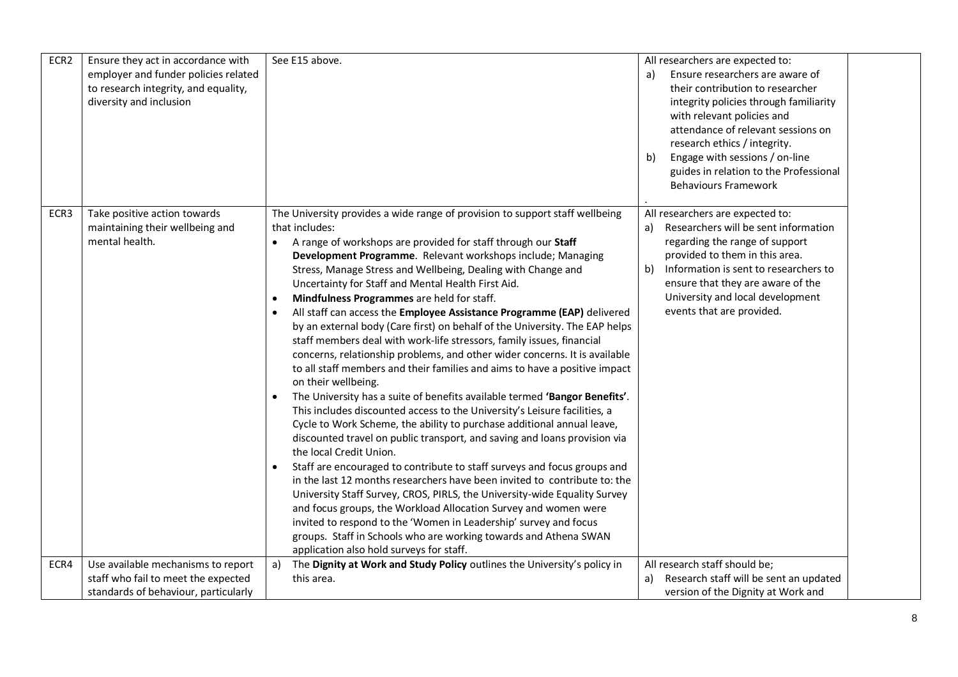| ECR2             | Ensure they act in accordance with<br>employer and funder policies related<br>to research integrity, and equality,<br>diversity and inclusion | See E15 above.                                                                                                                                                                                                                                                                                                                                                                                                                                                                                                                                                                                                                                                                                                                                                                                                                                                                                                                                                                                                                                                                                                                                                                                                                                                                                                                                                                                                                                                                                                                                                                                                                                                                                           | All researchers are expected to:<br>Ensure researchers are aware of<br>a)<br>their contribution to researcher<br>integrity policies through familiarity<br>with relevant policies and<br>attendance of relevant sessions on<br>research ethics / integrity.<br>Engage with sessions / on-line<br>b)<br>guides in relation to the Professional<br><b>Behaviours Framework</b> |  |
|------------------|-----------------------------------------------------------------------------------------------------------------------------------------------|----------------------------------------------------------------------------------------------------------------------------------------------------------------------------------------------------------------------------------------------------------------------------------------------------------------------------------------------------------------------------------------------------------------------------------------------------------------------------------------------------------------------------------------------------------------------------------------------------------------------------------------------------------------------------------------------------------------------------------------------------------------------------------------------------------------------------------------------------------------------------------------------------------------------------------------------------------------------------------------------------------------------------------------------------------------------------------------------------------------------------------------------------------------------------------------------------------------------------------------------------------------------------------------------------------------------------------------------------------------------------------------------------------------------------------------------------------------------------------------------------------------------------------------------------------------------------------------------------------------------------------------------------------------------------------------------------------|------------------------------------------------------------------------------------------------------------------------------------------------------------------------------------------------------------------------------------------------------------------------------------------------------------------------------------------------------------------------------|--|
| ECR <sub>3</sub> | Take positive action towards<br>maintaining their wellbeing and<br>mental health.                                                             | The University provides a wide range of provision to support staff wellbeing<br>that includes:<br>A range of workshops are provided for staff through our Staff<br>Development Programme. Relevant workshops include; Managing<br>Stress, Manage Stress and Wellbeing, Dealing with Change and<br>Uncertainty for Staff and Mental Health First Aid.<br>Mindfulness Programmes are held for staff.<br>$\bullet$<br>All staff can access the Employee Assistance Programme (EAP) delivered<br>$\bullet$<br>by an external body (Care first) on behalf of the University. The EAP helps<br>staff members deal with work-life stressors, family issues, financial<br>concerns, relationship problems, and other wider concerns. It is available<br>to all staff members and their families and aims to have a positive impact<br>on their wellbeing.<br>The University has a suite of benefits available termed 'Bangor Benefits'.<br>This includes discounted access to the University's Leisure facilities, a<br>Cycle to Work Scheme, the ability to purchase additional annual leave,<br>discounted travel on public transport, and saving and loans provision via<br>the local Credit Union.<br>Staff are encouraged to contribute to staff surveys and focus groups and<br>$\bullet$<br>in the last 12 months researchers have been invited to contribute to: the<br>University Staff Survey, CROS, PIRLS, the University-wide Equality Survey<br>and focus groups, the Workload Allocation Survey and women were<br>invited to respond to the 'Women in Leadership' survey and focus<br>groups. Staff in Schools who are working towards and Athena SWAN<br>application also hold surveys for staff. | All researchers are expected to:<br>Researchers will be sent information<br>a)<br>regarding the range of support<br>provided to them in this area.<br>Information is sent to researchers to<br>b)<br>ensure that they are aware of the<br>University and local development<br>events that are provided.                                                                      |  |
| ECR4             | Use available mechanisms to report                                                                                                            | a)<br>The Dignity at Work and Study Policy outlines the University's policy in                                                                                                                                                                                                                                                                                                                                                                                                                                                                                                                                                                                                                                                                                                                                                                                                                                                                                                                                                                                                                                                                                                                                                                                                                                                                                                                                                                                                                                                                                                                                                                                                                           | All research staff should be;                                                                                                                                                                                                                                                                                                                                                |  |
|                  | staff who fail to meet the expected                                                                                                           | this area.                                                                                                                                                                                                                                                                                                                                                                                                                                                                                                                                                                                                                                                                                                                                                                                                                                                                                                                                                                                                                                                                                                                                                                                                                                                                                                                                                                                                                                                                                                                                                                                                                                                                                               | Research staff will be sent an updated<br>a)                                                                                                                                                                                                                                                                                                                                 |  |
|                  | standards of behaviour, particularly                                                                                                          |                                                                                                                                                                                                                                                                                                                                                                                                                                                                                                                                                                                                                                                                                                                                                                                                                                                                                                                                                                                                                                                                                                                                                                                                                                                                                                                                                                                                                                                                                                                                                                                                                                                                                                          | version of the Dignity at Work and                                                                                                                                                                                                                                                                                                                                           |  |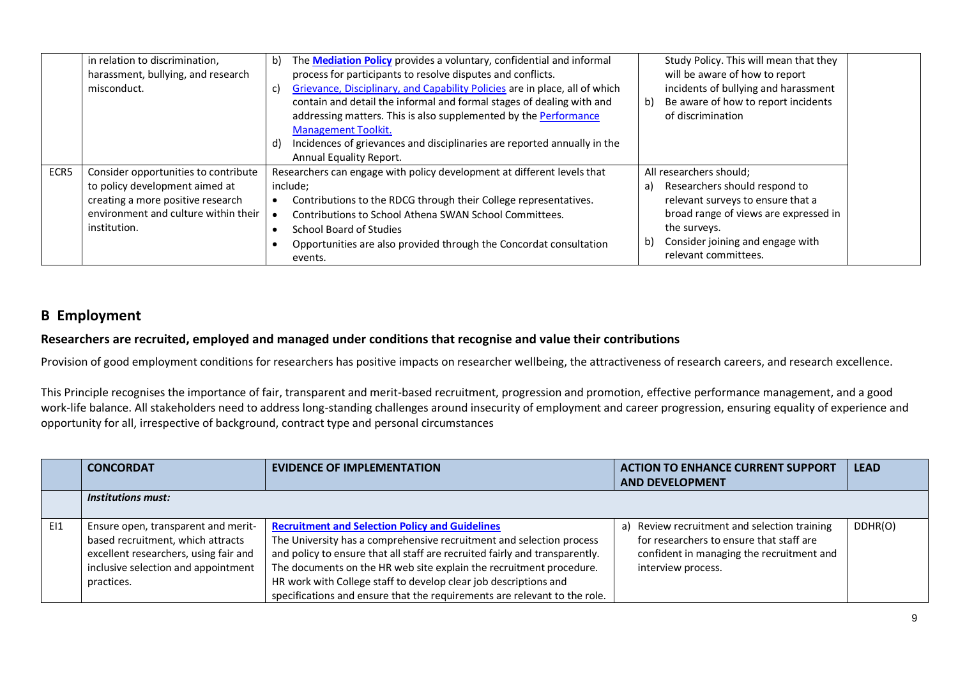| misconduct.          | in relation to discrimination,<br>harassment, bullying, and research                                                                                | The <b>Mediation Policy</b> provides a voluntary, confidential and informal<br>b)<br>process for participants to resolve disputes and conflicts.<br>Grievance, Disciplinary, and Capability Policies are in place, all of which<br>C)<br>contain and detail the informal and formal stages of dealing with and<br>addressing matters. This is also supplemented by the Performance<br><b>Management Toolkit.</b><br>Incidences of grievances and disciplinaries are reported annually in the<br>d)<br>Annual Equality Report. | Study Policy. This will mean that they<br>will be aware of how to report<br>incidents of bullying and harassment<br>Be aware of how to report incidents<br>b)<br>of discrimination                                             |
|----------------------|-----------------------------------------------------------------------------------------------------------------------------------------------------|-------------------------------------------------------------------------------------------------------------------------------------------------------------------------------------------------------------------------------------------------------------------------------------------------------------------------------------------------------------------------------------------------------------------------------------------------------------------------------------------------------------------------------|--------------------------------------------------------------------------------------------------------------------------------------------------------------------------------------------------------------------------------|
| ECR5<br>institution. | Consider opportunities to contribute<br>to policy development aimed at<br>creating a more positive research<br>environment and culture within their | Researchers can engage with policy development at different levels that<br>include;<br>Contributions to the RDCG through their College representatives.<br>Contributions to School Athena SWAN School Committees.<br>School Board of Studies<br>Opportunities are also provided through the Concordat consultation<br>events.                                                                                                                                                                                                 | All researchers should;<br>Researchers should respond to<br>a)<br>relevant surveys to ensure that a<br>broad range of views are expressed in<br>the surveys.<br>Consider joining and engage with<br>b)<br>relevant committees. |

## **B Employment**

#### **Researchers are recruited, employed and managed under conditions that recognise and value their contributions**

Provision of good employment conditions for researchers has positive impacts on researcher wellbeing, the attractiveness of research careers, and research excellence.

This Principle recognises the importance of fair, transparent and merit-based recruitment, progression and promotion, effective performance management, and a good work-life balance. All stakeholders need to address long-standing challenges around insecurity of employment and career progression, ensuring equality of experience and opportunity for all, irrespective of background, contract type and personal circumstances

|     | <b>CONCORDAT</b>                                                                                                                                                       | <b>EVIDENCE OF IMPLEMENTATION</b>                                                                                                                                                                                                                                                                                                                                                                                                     | <b>ACTION TO ENHANCE CURRENT SUPPORT</b><br><b>AND DEVELOPMENT</b>                                                                                             | <b>LEAD</b> |
|-----|------------------------------------------------------------------------------------------------------------------------------------------------------------------------|---------------------------------------------------------------------------------------------------------------------------------------------------------------------------------------------------------------------------------------------------------------------------------------------------------------------------------------------------------------------------------------------------------------------------------------|----------------------------------------------------------------------------------------------------------------------------------------------------------------|-------------|
|     | <b>Institutions must:</b>                                                                                                                                              |                                                                                                                                                                                                                                                                                                                                                                                                                                       |                                                                                                                                                                |             |
| E11 | Ensure open, transparent and merit-<br>based recruitment, which attracts<br>excellent researchers, using fair and<br>inclusive selection and appointment<br>practices. | <b>Recruitment and Selection Policy and Guidelines</b><br>The University has a comprehensive recruitment and selection process<br>and policy to ensure that all staff are recruited fairly and transparently.<br>The documents on the HR web site explain the recruitment procedure.<br>HR work with College staff to develop clear job descriptions and<br>specifications and ensure that the requirements are relevant to the role. | Review recruitment and selection training<br>a)<br>for researchers to ensure that staff are<br>confident in managing the recruitment and<br>interview process. | DDHR(O)     |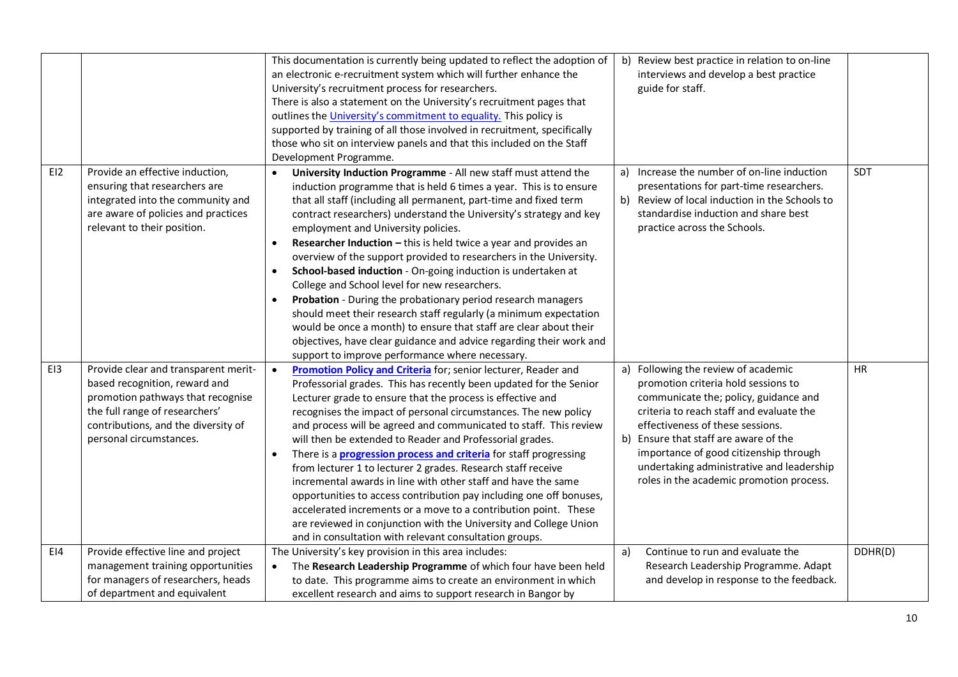|     |                                                                                                                                                                                                                | This documentation is currently being updated to reflect the adoption of<br>an electronic e-recruitment system which will further enhance the<br>University's recruitment process for researchers.<br>There is also a statement on the University's recruitment pages that<br>outlines the University's commitment to equality. This policy is<br>supported by training of all those involved in recruitment, specifically<br>those who sit on interview panels and that this included on the Staff<br>Development Programme.                                                                                                                                                                                                                                                                                                                                                                                                                          | b) Review best practice in relation to on-line<br>interviews and develop a best practice<br>guide for staff.                                                                                                                                                                                                                                                                    |            |
|-----|----------------------------------------------------------------------------------------------------------------------------------------------------------------------------------------------------------------|--------------------------------------------------------------------------------------------------------------------------------------------------------------------------------------------------------------------------------------------------------------------------------------------------------------------------------------------------------------------------------------------------------------------------------------------------------------------------------------------------------------------------------------------------------------------------------------------------------------------------------------------------------------------------------------------------------------------------------------------------------------------------------------------------------------------------------------------------------------------------------------------------------------------------------------------------------|---------------------------------------------------------------------------------------------------------------------------------------------------------------------------------------------------------------------------------------------------------------------------------------------------------------------------------------------------------------------------------|------------|
| E12 | Provide an effective induction,<br>ensuring that researchers are<br>integrated into the community and<br>are aware of policies and practices<br>relevant to their position.                                    | University Induction Programme - All new staff must attend the<br>$\bullet$<br>induction programme that is held 6 times a year. This is to ensure<br>that all staff (including all permanent, part-time and fixed term<br>contract researchers) understand the University's strategy and key<br>employment and University policies.<br><b>Researcher Induction - this is held twice a year and provides an</b><br>$\bullet$<br>overview of the support provided to researchers in the University.<br>School-based induction - On-going induction is undertaken at<br>College and School level for new researchers.<br>Probation - During the probationary period research managers<br>should meet their research staff regularly (a minimum expectation<br>would be once a month) to ensure that staff are clear about their<br>objectives, have clear guidance and advice regarding their work and<br>support to improve performance where necessary. | a) Increase the number of on-line induction<br>presentations for part-time researchers.<br>b) Review of local induction in the Schools to<br>standardise induction and share best<br>practice across the Schools.                                                                                                                                                               | <b>SDT</b> |
| EI3 | Provide clear and transparent merit-<br>based recognition, reward and<br>promotion pathways that recognise<br>the full range of researchers'<br>contributions, and the diversity of<br>personal circumstances. | Promotion Policy and Criteria for; senior lecturer, Reader and<br>$\bullet$<br>Professorial grades. This has recently been updated for the Senior<br>Lecturer grade to ensure that the process is effective and<br>recognises the impact of personal circumstances. The new policy<br>and process will be agreed and communicated to staff. This review<br>will then be extended to Reader and Professorial grades.<br>There is a <b>progression process and criteria</b> for staff progressing<br>from lecturer 1 to lecturer 2 grades. Research staff receive<br>incremental awards in line with other staff and have the same<br>opportunities to access contribution pay including one off bonuses,<br>accelerated increments or a move to a contribution point. These<br>are reviewed in conjunction with the University and College Union<br>and in consultation with relevant consultation groups.                                              | a) Following the review of academic<br>promotion criteria hold sessions to<br>communicate the; policy, guidance and<br>criteria to reach staff and evaluate the<br>effectiveness of these sessions.<br>b) Ensure that staff are aware of the<br>importance of good citizenship through<br>undertaking administrative and leadership<br>roles in the academic promotion process. | <b>HR</b>  |
| E14 | Provide effective line and project<br>management training opportunities<br>for managers of researchers, heads                                                                                                  | The University's key provision in this area includes:<br>The Research Leadership Programme of which four have been held<br>$\bullet$<br>to date. This programme aims to create an environment in which                                                                                                                                                                                                                                                                                                                                                                                                                                                                                                                                                                                                                                                                                                                                                 | Continue to run and evaluate the<br>a)<br>Research Leadership Programme. Adapt<br>and develop in response to the feedback.                                                                                                                                                                                                                                                      | DDHR(D)    |
|     | of department and equivalent                                                                                                                                                                                   | excellent research and aims to support research in Bangor by                                                                                                                                                                                                                                                                                                                                                                                                                                                                                                                                                                                                                                                                                                                                                                                                                                                                                           |                                                                                                                                                                                                                                                                                                                                                                                 |            |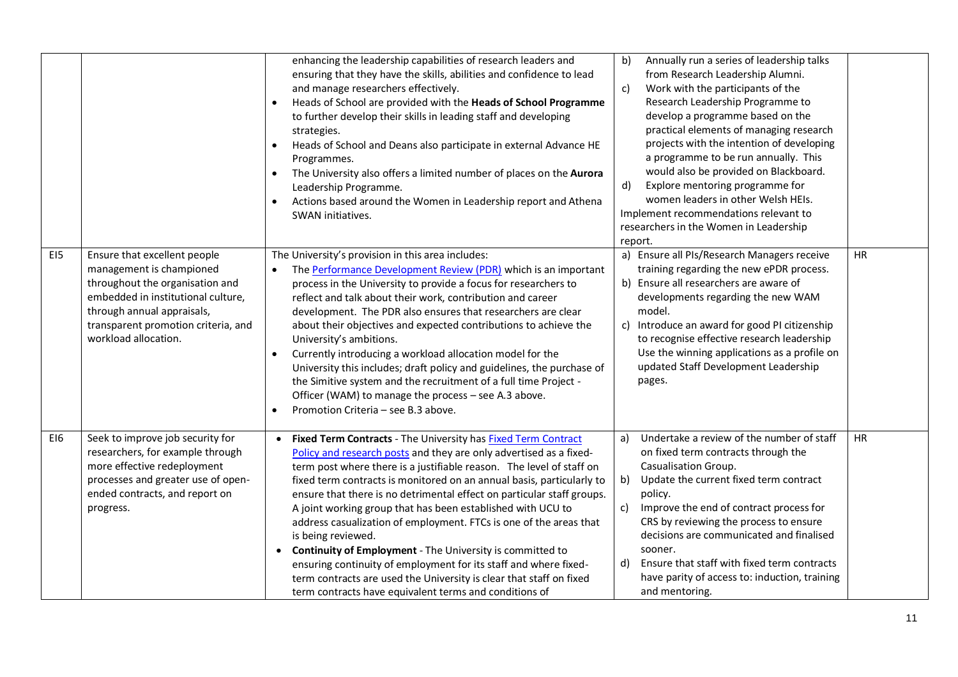|     |                                                                                                                                                                                                                                | enhancing the leadership capabilities of research leaders and<br>ensuring that they have the skills, abilities and confidence to lead<br>and manage researchers effectively.<br>Heads of School are provided with the Heads of School Programme<br>to further develop their skills in leading staff and developing<br>strategies.<br>Heads of School and Deans also participate in external Advance HE<br>Programmes.<br>The University also offers a limited number of places on the Aurora<br>Leadership Programme.<br>Actions based around the Women in Leadership report and Athena<br>SWAN initiatives.                                                                                                                                                                                             | b)<br>Annually run a series of leadership talks<br>from Research Leadership Alumni.<br>Work with the participants of the<br>$\mathsf{c}$<br>Research Leadership Programme to<br>develop a programme based on the<br>practical elements of managing research<br>projects with the intention of developing<br>a programme to be run annually. This<br>would also be provided on Blackboard.<br>Explore mentoring programme for<br>d)<br>women leaders in other Welsh HEIs.<br>Implement recommendations relevant to<br>researchers in the Women in Leadership<br>report. |           |
|-----|--------------------------------------------------------------------------------------------------------------------------------------------------------------------------------------------------------------------------------|----------------------------------------------------------------------------------------------------------------------------------------------------------------------------------------------------------------------------------------------------------------------------------------------------------------------------------------------------------------------------------------------------------------------------------------------------------------------------------------------------------------------------------------------------------------------------------------------------------------------------------------------------------------------------------------------------------------------------------------------------------------------------------------------------------|------------------------------------------------------------------------------------------------------------------------------------------------------------------------------------------------------------------------------------------------------------------------------------------------------------------------------------------------------------------------------------------------------------------------------------------------------------------------------------------------------------------------------------------------------------------------|-----------|
| EI5 | Ensure that excellent people<br>management is championed<br>throughout the organisation and<br>embedded in institutional culture,<br>through annual appraisals,<br>transparent promotion criteria, and<br>workload allocation. | The University's provision in this area includes:<br>The Performance Development Review (PDR) which is an important<br>process in the University to provide a focus for researchers to<br>reflect and talk about their work, contribution and career<br>development. The PDR also ensures that researchers are clear<br>about their objectives and expected contributions to achieve the<br>University's ambitions.<br>Currently introducing a workload allocation model for the<br>$\bullet$<br>University this includes; draft policy and guidelines, the purchase of<br>the Simitive system and the recruitment of a full time Project -<br>Officer (WAM) to manage the process - see A.3 above.<br>Promotion Criteria - see B.3 above.                                                               | a) Ensure all PIs/Research Managers receive<br>training regarding the new ePDR process.<br>b) Ensure all researchers are aware of<br>developments regarding the new WAM<br>model.<br>c) Introduce an award for good PI citizenship<br>to recognise effective research leadership<br>Use the winning applications as a profile on<br>updated Staff Development Leadership<br>pages.                                                                                                                                                                                     | HR        |
| EI6 | Seek to improve job security for<br>researchers, for example through<br>more effective redeployment<br>processes and greater use of open-<br>ended contracts, and report on<br>progress.                                       | Fixed Term Contracts - The University has Fixed Term Contract<br>$\bullet$<br>Policy and research posts and they are only advertised as a fixed-<br>term post where there is a justifiable reason. The level of staff on<br>fixed term contracts is monitored on an annual basis, particularly to<br>ensure that there is no detrimental effect on particular staff groups.<br>A joint working group that has been established with UCU to<br>address casualization of employment. FTCs is one of the areas that<br>is being reviewed.<br>Continuity of Employment - The University is committed to<br>ensuring continuity of employment for its staff and where fixed-<br>term contracts are used the University is clear that staff on fixed<br>term contracts have equivalent terms and conditions of | Undertake a review of the number of staff<br>a)<br>on fixed term contracts through the<br>Casualisation Group.<br>Update the current fixed term contract<br>b)<br>policy.<br>Improve the end of contract process for<br>c)<br>CRS by reviewing the process to ensure<br>decisions are communicated and finalised<br>sooner.<br>Ensure that staff with fixed term contracts<br>d)<br>have parity of access to: induction, training<br>and mentoring.                                                                                                                    | <b>HR</b> |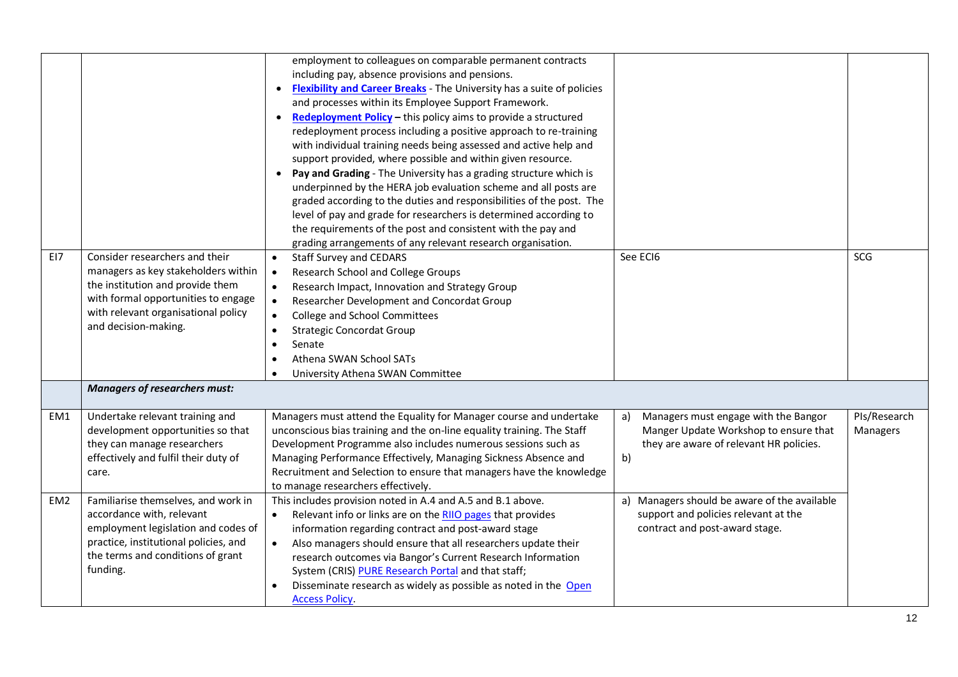|                 |                                                                                                                                                                                                                 | employment to colleagues on comparable permanent contracts<br>including pay, absence provisions and pensions.<br>• Flexibility and Career Breaks - The University has a suite of policies<br>and processes within its Employee Support Framework.<br>• Redeployment Policy - this policy aims to provide a structured<br>redeployment process including a positive approach to re-training<br>with individual training needs being assessed and active help and<br>support provided, where possible and within given resource.<br>• Pay and Grading - The University has a grading structure which is<br>underpinned by the HERA job evaluation scheme and all posts are<br>graded according to the duties and responsibilities of the post. The<br>level of pay and grade for researchers is determined according to<br>the requirements of the post and consistent with the pay and<br>grading arrangements of any relevant research organisation. |                                                                                                                                      |                          |
|-----------------|-----------------------------------------------------------------------------------------------------------------------------------------------------------------------------------------------------------------|------------------------------------------------------------------------------------------------------------------------------------------------------------------------------------------------------------------------------------------------------------------------------------------------------------------------------------------------------------------------------------------------------------------------------------------------------------------------------------------------------------------------------------------------------------------------------------------------------------------------------------------------------------------------------------------------------------------------------------------------------------------------------------------------------------------------------------------------------------------------------------------------------------------------------------------------------|--------------------------------------------------------------------------------------------------------------------------------------|--------------------------|
| EI7             | Consider researchers and their<br>managers as key stakeholders within<br>the institution and provide them<br>with formal opportunities to engage<br>with relevant organisational policy<br>and decision-making. | <b>Staff Survey and CEDARS</b><br>$\bullet$<br>Research School and College Groups<br>$\bullet$<br>Research Impact, Innovation and Strategy Group<br>$\bullet$<br>Researcher Development and Concordat Group<br>$\bullet$<br>College and School Committees<br>$\bullet$<br><b>Strategic Concordat Group</b><br>$\bullet$<br>$\bullet$<br>Senate<br>Athena SWAN School SATs<br>$\bullet$<br>University Athena SWAN Committee<br>$\bullet$                                                                                                                                                                                                                                                                                                                                                                                                                                                                                                              | See ECI6                                                                                                                             | SCG                      |
|                 | <b>Managers of researchers must:</b>                                                                                                                                                                            |                                                                                                                                                                                                                                                                                                                                                                                                                                                                                                                                                                                                                                                                                                                                                                                                                                                                                                                                                      |                                                                                                                                      |                          |
| EM1             | Undertake relevant training and<br>development opportunities so that<br>they can manage researchers<br>effectively and fulfil their duty of<br>care.                                                            | Managers must attend the Equality for Manager course and undertake<br>unconscious bias training and the on-line equality training. The Staff<br>Development Programme also includes numerous sessions such as<br>Managing Performance Effectively, Managing Sickness Absence and<br>Recruitment and Selection to ensure that managers have the knowledge<br>to manage researchers effectively.                                                                                                                                                                                                                                                                                                                                                                                                                                                                                                                                                       | Managers must engage with the Bangor<br>a)<br>Manger Update Workshop to ensure that<br>they are aware of relevant HR policies.<br>b) | PIs/Research<br>Managers |
| EM <sub>2</sub> | Familiarise themselves, and work in<br>accordance with, relevant<br>employment legislation and codes of<br>practice, institutional policies, and<br>the terms and conditions of grant<br>funding.               | This includes provision noted in A.4 and A.5 and B.1 above.<br>Relevant info or links are on the RIIO pages that provides<br>$\bullet$<br>information regarding contract and post-award stage<br>Also managers should ensure that all researchers update their<br>$\bullet$<br>research outcomes via Bangor's Current Research Information<br>System (CRIS) PURE Research Portal and that staff;<br>Disseminate research as widely as possible as noted in the Open<br><b>Access Policy.</b>                                                                                                                                                                                                                                                                                                                                                                                                                                                         | Managers should be aware of the available<br>a)<br>support and policies relevant at the<br>contract and post-award stage.            |                          |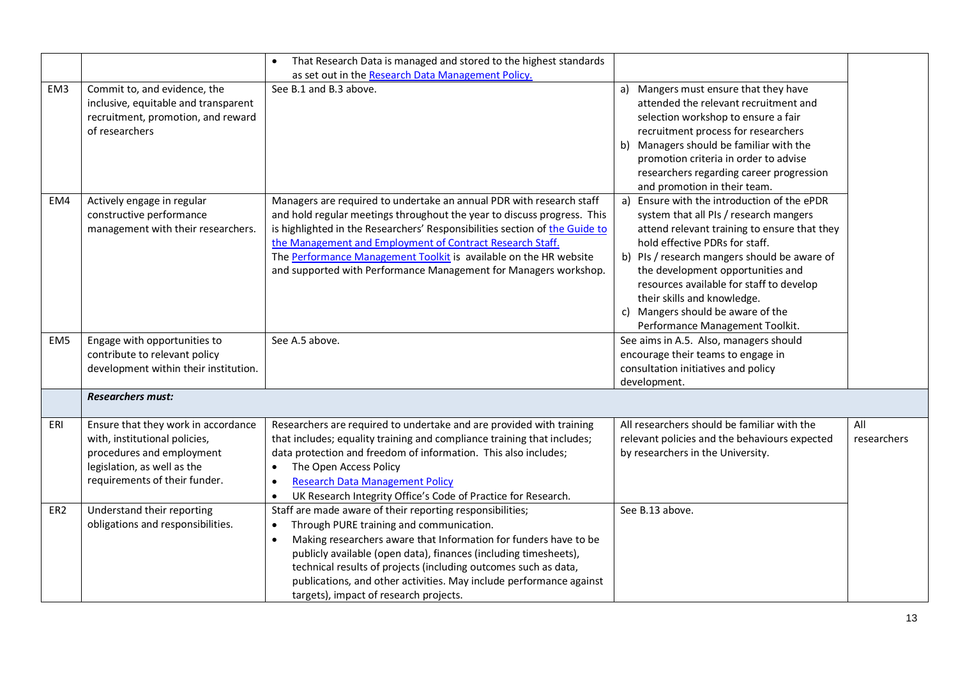|                 |                                                                                                                                                                   | That Research Data is managed and stored to the highest standards<br>as set out in the Research Data Management Policy.                                                                                                                                                                                                                                                                                                                                     |                                                                                                                                                                                                                                                                                                                                                                                                                    |                    |
|-----------------|-------------------------------------------------------------------------------------------------------------------------------------------------------------------|-------------------------------------------------------------------------------------------------------------------------------------------------------------------------------------------------------------------------------------------------------------------------------------------------------------------------------------------------------------------------------------------------------------------------------------------------------------|--------------------------------------------------------------------------------------------------------------------------------------------------------------------------------------------------------------------------------------------------------------------------------------------------------------------------------------------------------------------------------------------------------------------|--------------------|
| EM3             | Commit to, and evidence, the<br>inclusive, equitable and transparent<br>recruitment, promotion, and reward<br>of researchers                                      | See B.1 and B.3 above.                                                                                                                                                                                                                                                                                                                                                                                                                                      | Mangers must ensure that they have<br>a)<br>attended the relevant recruitment and<br>selection workshop to ensure a fair<br>recruitment process for researchers<br>Managers should be familiar with the<br>b)<br>promotion criteria in order to advise<br>researchers regarding career progression<br>and promotion in their team.                                                                                 |                    |
| EM4             | Actively engage in regular<br>constructive performance<br>management with their researchers.                                                                      | Managers are required to undertake an annual PDR with research staff<br>and hold regular meetings throughout the year to discuss progress. This<br>is highlighted in the Researchers' Responsibilities section of the Guide to<br>the Management and Employment of Contract Research Staff.<br>The Performance Management Toolkit is available on the HR website<br>and supported with Performance Management for Managers workshop.                        | Ensure with the introduction of the ePDR<br>a)<br>system that all PIs / research mangers<br>attend relevant training to ensure that they<br>hold effective PDRs for staff.<br>b) PIs / research mangers should be aware of<br>the development opportunities and<br>resources available for staff to develop<br>their skills and knowledge.<br>c) Mangers should be aware of the<br>Performance Management Toolkit. |                    |
| EM <sub>5</sub> | Engage with opportunities to<br>contribute to relevant policy<br>development within their institution.                                                            | See A.5 above.                                                                                                                                                                                                                                                                                                                                                                                                                                              | See aims in A.5. Also, managers should<br>encourage their teams to engage in<br>consultation initiatives and policy<br>development.                                                                                                                                                                                                                                                                                |                    |
|                 | <b>Researchers must:</b>                                                                                                                                          |                                                                                                                                                                                                                                                                                                                                                                                                                                                             |                                                                                                                                                                                                                                                                                                                                                                                                                    |                    |
| ERI             | Ensure that they work in accordance<br>with, institutional policies,<br>procedures and employment<br>legislation, as well as the<br>requirements of their funder. | Researchers are required to undertake and are provided with training<br>that includes; equality training and compliance training that includes;<br>data protection and freedom of information. This also includes;<br>The Open Access Policy<br>$\bullet$<br><b>Research Data Management Policy</b><br>$\bullet$<br>UK Research Integrity Office's Code of Practice for Research.<br>$\bullet$                                                              | All researchers should be familiar with the<br>relevant policies and the behaviours expected<br>by researchers in the University.                                                                                                                                                                                                                                                                                  | All<br>researchers |
| ER <sub>2</sub> | Understand their reporting<br>obligations and responsibilities.                                                                                                   | Staff are made aware of their reporting responsibilities;<br>Through PURE training and communication.<br>$\bullet$<br>Making researchers aware that Information for funders have to be<br>$\bullet$<br>publicly available (open data), finances (including timesheets),<br>technical results of projects (including outcomes such as data,<br>publications, and other activities. May include performance against<br>targets), impact of research projects. | See B.13 above.                                                                                                                                                                                                                                                                                                                                                                                                    |                    |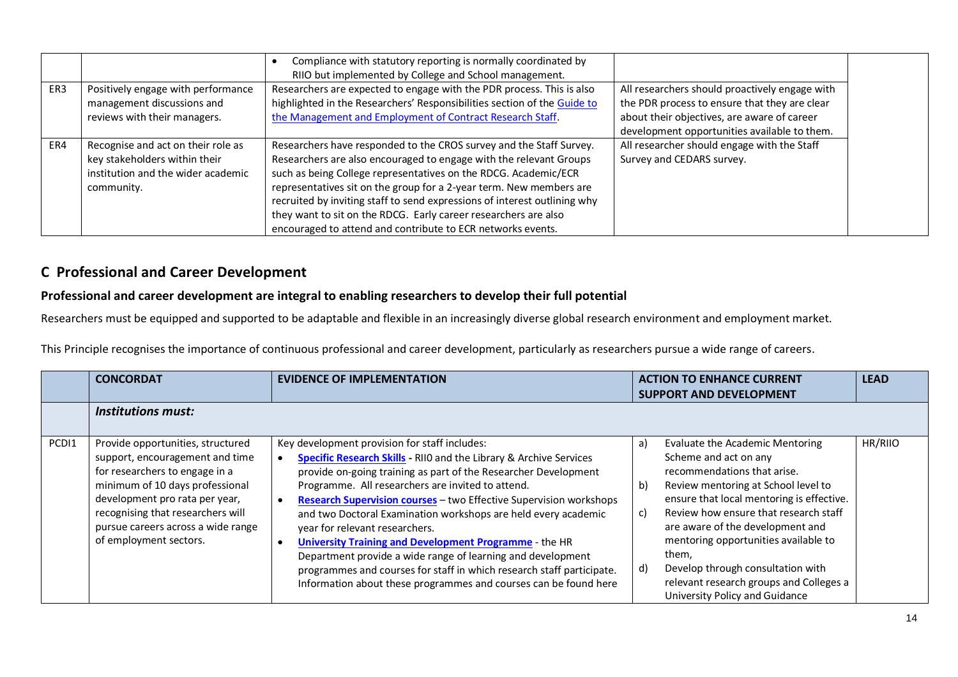|     |                                                                                                                         | Compliance with statutory reporting is normally coordinated by<br>RIIO but implemented by College and School management.                                                                                                                                                                                                                                                                                                                                                                           |                                                                                                                                                                                                |
|-----|-------------------------------------------------------------------------------------------------------------------------|----------------------------------------------------------------------------------------------------------------------------------------------------------------------------------------------------------------------------------------------------------------------------------------------------------------------------------------------------------------------------------------------------------------------------------------------------------------------------------------------------|------------------------------------------------------------------------------------------------------------------------------------------------------------------------------------------------|
| ER3 | Positively engage with performance<br>management discussions and<br>reviews with their managers.                        | Researchers are expected to engage with the PDR process. This is also<br>highlighted in the Researchers' Responsibilities section of the Guide to<br>the Management and Employment of Contract Research Staff.                                                                                                                                                                                                                                                                                     | All researchers should proactively engage with<br>the PDR process to ensure that they are clear<br>about their objectives, are aware of career<br>development opportunities available to them. |
| ER4 | Recognise and act on their role as<br>key stakeholders within their<br>institution and the wider academic<br>community. | Researchers have responded to the CROS survey and the Staff Survey.<br>Researchers are also encouraged to engage with the relevant Groups<br>such as being College representatives on the RDCG. Academic/ECR<br>representatives sit on the group for a 2-year term. New members are<br>recruited by inviting staff to send expressions of interest outlining why<br>they want to sit on the RDCG. Early career researchers are also<br>encouraged to attend and contribute to ECR networks events. | All researcher should engage with the Staff<br>Survey and CEDARS survey.                                                                                                                       |

## **C Professional and Career Development**

### **Professional and career development are integral to enabling researchers to develop their full potential**

Researchers must be equipped and supported to be adaptable and flexible in an increasingly diverse global research environment and employment market.

This Principle recognises the importance of continuous professional and career development, particularly as researchers pursue a wide range of careers.

|                  | <b>CONCORDAT</b>                                                                                                                                                                                                                                                                 | <b>EVIDENCE OF IMPLEMENTATION</b>                                                                                                                                                                                                                                                                                                                                                                                                                                                                                                                                                                                                                                                                         | <b>ACTION TO ENHANCE CURRENT</b><br><b>SUPPORT AND DEVELOPMENT</b>                                                                                                                                                                                                                                                                                                                                                                                         | <b>LEAD</b> |
|------------------|----------------------------------------------------------------------------------------------------------------------------------------------------------------------------------------------------------------------------------------------------------------------------------|-----------------------------------------------------------------------------------------------------------------------------------------------------------------------------------------------------------------------------------------------------------------------------------------------------------------------------------------------------------------------------------------------------------------------------------------------------------------------------------------------------------------------------------------------------------------------------------------------------------------------------------------------------------------------------------------------------------|------------------------------------------------------------------------------------------------------------------------------------------------------------------------------------------------------------------------------------------------------------------------------------------------------------------------------------------------------------------------------------------------------------------------------------------------------------|-------------|
|                  | <b>Institutions must:</b>                                                                                                                                                                                                                                                        |                                                                                                                                                                                                                                                                                                                                                                                                                                                                                                                                                                                                                                                                                                           |                                                                                                                                                                                                                                                                                                                                                                                                                                                            |             |
| PCD <sub>1</sub> | Provide opportunities, structured<br>support, encouragement and time<br>for researchers to engage in a<br>minimum of 10 days professional<br>development pro rata per year,<br>recognising that researchers will<br>pursue careers across a wide range<br>of employment sectors. | Key development provision for staff includes:<br><b>Specific Research Skills</b> - RIIO and the Library & Archive Services<br>provide on-going training as part of the Researcher Development<br>Programme. All researchers are invited to attend.<br>Research Supervision courses - two Effective Supervision workshops<br>and two Doctoral Examination workshops are held every academic<br>year for relevant researchers.<br><b>University Training and Development Programme - the HR</b><br>Department provide a wide range of learning and development<br>programmes and courses for staff in which research staff participate.<br>Information about these programmes and courses can be found here | <b>Evaluate the Academic Mentoring</b><br>a)<br>Scheme and act on any<br>recommendations that arise.<br>b)<br>Review mentoring at School level to<br>ensure that local mentoring is effective.<br>Review how ensure that research staff<br>c)<br>are aware of the development and<br>mentoring opportunities available to<br>them,<br>Develop through consultation with<br>d)<br>relevant research groups and Colleges a<br>University Policy and Guidance | HR/RIIO     |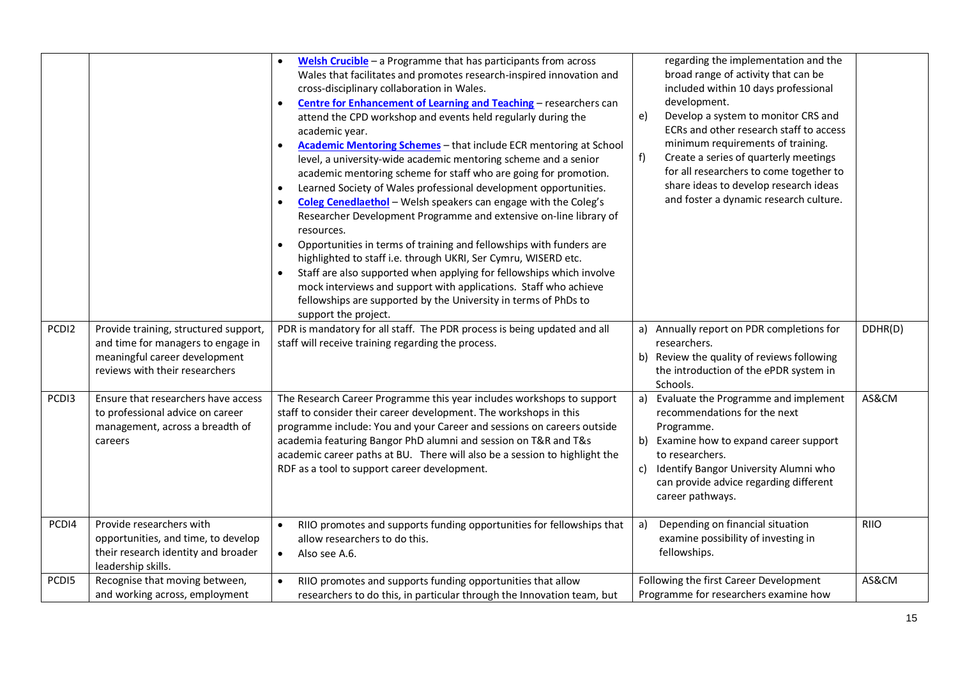|                   |                                                                                                                                                | Welsh Crucible $-$ a Programme that has participants from across<br>$\bullet$<br>Wales that facilitates and promotes research-inspired innovation and<br>cross-disciplinary collaboration in Wales.<br>Centre for Enhancement of Learning and Teaching - researchers can<br>$\bullet$<br>attend the CPD workshop and events held regularly during the<br>academic year.<br>Academic Mentoring Schemes - that include ECR mentoring at School<br>level, a university-wide academic mentoring scheme and a senior<br>academic mentoring scheme for staff who are going for promotion.<br>Learned Society of Wales professional development opportunities.<br>$\bullet$<br>Coleg Cenedlaethol - Welsh speakers can engage with the Coleg's<br>Researcher Development Programme and extensive on-line library of<br>resources.<br>Opportunities in terms of training and fellowships with funders are<br>$\bullet$<br>highlighted to staff i.e. through UKRI, Ser Cymru, WISERD etc.<br>Staff are also supported when applying for fellowships which involve<br>$\bullet$<br>mock interviews and support with applications. Staff who achieve<br>fellowships are supported by the University in terms of PhDs to<br>support the project. | regarding the implementation and the<br>broad range of activity that can be<br>included within 10 days professional<br>development.<br>e)<br>Develop a system to monitor CRS and<br>ECRs and other research staff to access<br>minimum requirements of training.<br>f)<br>Create a series of quarterly meetings<br>for all researchers to come together to<br>share ideas to develop research ideas<br>and foster a dynamic research culture. |             |
|-------------------|------------------------------------------------------------------------------------------------------------------------------------------------|--------------------------------------------------------------------------------------------------------------------------------------------------------------------------------------------------------------------------------------------------------------------------------------------------------------------------------------------------------------------------------------------------------------------------------------------------------------------------------------------------------------------------------------------------------------------------------------------------------------------------------------------------------------------------------------------------------------------------------------------------------------------------------------------------------------------------------------------------------------------------------------------------------------------------------------------------------------------------------------------------------------------------------------------------------------------------------------------------------------------------------------------------------------------------------------------------------------------------------------|-----------------------------------------------------------------------------------------------------------------------------------------------------------------------------------------------------------------------------------------------------------------------------------------------------------------------------------------------------------------------------------------------------------------------------------------------|-------------|
| PCDI2             | Provide training, structured support,<br>and time for managers to engage in<br>meaningful career development<br>reviews with their researchers | PDR is mandatory for all staff. The PDR process is being updated and all<br>staff will receive training regarding the process.                                                                                                                                                                                                                                                                                                                                                                                                                                                                                                                                                                                                                                                                                                                                                                                                                                                                                                                                                                                                                                                                                                       | a) Annually report on PDR completions for<br>researchers.<br>b) Review the quality of reviews following<br>the introduction of the ePDR system in<br>Schools.                                                                                                                                                                                                                                                                                 | DDHR(D)     |
| PCD <sub>13</sub> | Ensure that researchers have access<br>to professional advice on career<br>management, across a breadth of<br>careers                          | The Research Career Programme this year includes workshops to support<br>staff to consider their career development. The workshops in this<br>programme include: You and your Career and sessions on careers outside<br>academia featuring Bangor PhD alumni and session on T&R and T&s<br>academic career paths at BU. There will also be a session to highlight the<br>RDF as a tool to support career development.                                                                                                                                                                                                                                                                                                                                                                                                                                                                                                                                                                                                                                                                                                                                                                                                                | a)<br>Evaluate the Programme and implement<br>recommendations for the next<br>Programme.<br>b) Examine how to expand career support<br>to researchers.<br>Identify Bangor University Alumni who<br>C)<br>can provide advice regarding different<br>career pathways.                                                                                                                                                                           | AS&CM       |
| PCD <sub>14</sub> | Provide researchers with<br>opportunities, and time, to develop<br>their research identity and broader<br>leadership skills.                   | RIIO promotes and supports funding opportunities for fellowships that<br>$\bullet$<br>allow researchers to do this.<br>Also see A.6.<br>$\bullet$                                                                                                                                                                                                                                                                                                                                                                                                                                                                                                                                                                                                                                                                                                                                                                                                                                                                                                                                                                                                                                                                                    | Depending on financial situation<br>a)<br>examine possibility of investing in<br>fellowships.                                                                                                                                                                                                                                                                                                                                                 | <b>RIIO</b> |
| PCD <sub>15</sub> | Recognise that moving between,<br>and working across, employment                                                                               | RIIO promotes and supports funding opportunities that allow<br>researchers to do this, in particular through the Innovation team, but                                                                                                                                                                                                                                                                                                                                                                                                                                                                                                                                                                                                                                                                                                                                                                                                                                                                                                                                                                                                                                                                                                | Following the first Career Development<br>Programme for researchers examine how                                                                                                                                                                                                                                                                                                                                                               | AS&CM       |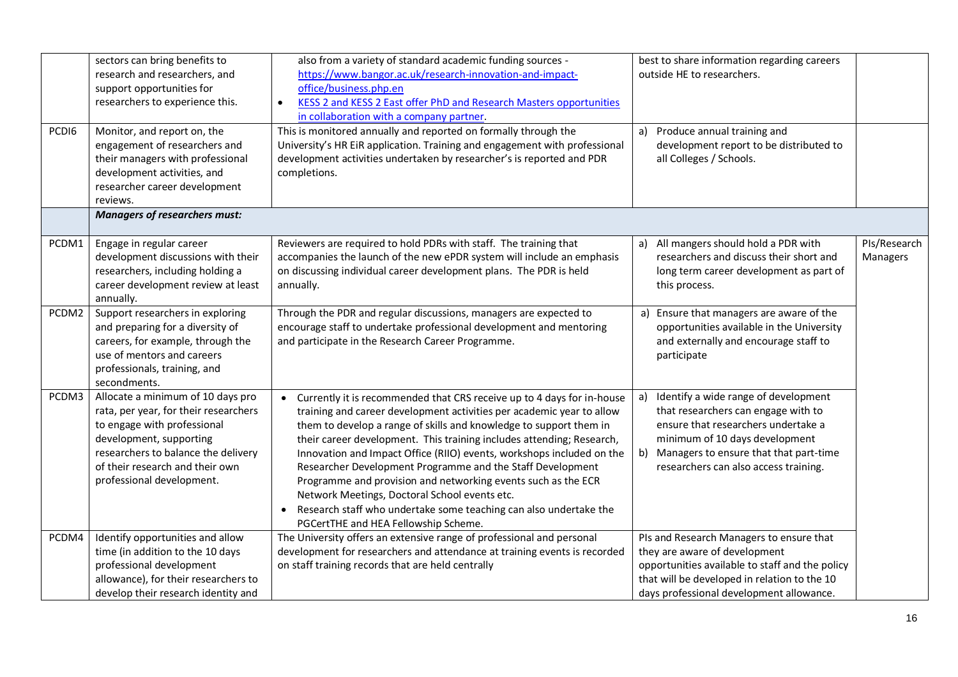| PCD <sub>16</sub> | sectors can bring benefits to<br>research and researchers, and<br>support opportunities for<br>researchers to experience this.<br>Monitor, and report on, the                                                                               | also from a variety of standard academic funding sources -<br>https://www.bangor.ac.uk/research-innovation-and-impact-<br>office/business.php.en<br>KESS 2 and KESS 2 East offer PhD and Research Masters opportunities<br>$\bullet$<br>in collaboration with a company partner.<br>This is monitored annually and reported on formally through the                                                                                                                                                                                                                                                                                                                               | best to share information regarding careers<br>outside HE to researchers.<br>Produce annual training and<br>a)                                                                                                                                   |                          |
|-------------------|---------------------------------------------------------------------------------------------------------------------------------------------------------------------------------------------------------------------------------------------|-----------------------------------------------------------------------------------------------------------------------------------------------------------------------------------------------------------------------------------------------------------------------------------------------------------------------------------------------------------------------------------------------------------------------------------------------------------------------------------------------------------------------------------------------------------------------------------------------------------------------------------------------------------------------------------|--------------------------------------------------------------------------------------------------------------------------------------------------------------------------------------------------------------------------------------------------|--------------------------|
|                   | engagement of researchers and<br>their managers with professional<br>development activities, and<br>researcher career development<br>reviews.                                                                                               | University's HR EiR application. Training and engagement with professional<br>development activities undertaken by researcher's is reported and PDR<br>completions.                                                                                                                                                                                                                                                                                                                                                                                                                                                                                                               | development report to be distributed to<br>all Colleges / Schools.                                                                                                                                                                               |                          |
|                   | <b>Managers of researchers must:</b>                                                                                                                                                                                                        |                                                                                                                                                                                                                                                                                                                                                                                                                                                                                                                                                                                                                                                                                   |                                                                                                                                                                                                                                                  |                          |
| PCDM1             | Engage in regular career<br>development discussions with their<br>researchers, including holding a<br>career development review at least<br>annually.                                                                                       | Reviewers are required to hold PDRs with staff. The training that<br>accompanies the launch of the new ePDR system will include an emphasis<br>on discussing individual career development plans. The PDR is held<br>annually.                                                                                                                                                                                                                                                                                                                                                                                                                                                    | All mangers should hold a PDR with<br>a)<br>researchers and discuss their short and<br>long term career development as part of<br>this process.                                                                                                  | PIs/Research<br>Managers |
| PCDM2             | Support researchers in exploring<br>and preparing for a diversity of<br>careers, for example, through the<br>use of mentors and careers<br>professionals, training, and<br>secondments.                                                     | Through the PDR and regular discussions, managers are expected to<br>encourage staff to undertake professional development and mentoring<br>and participate in the Research Career Programme.                                                                                                                                                                                                                                                                                                                                                                                                                                                                                     | a) Ensure that managers are aware of the<br>opportunities available in the University<br>and externally and encourage staff to<br>participate                                                                                                    |                          |
| PCDM3             | Allocate a minimum of 10 days pro<br>rata, per year, for their researchers<br>to engage with professional<br>development, supporting<br>researchers to balance the delivery<br>of their research and their own<br>professional development. | Currently it is recommended that CRS receive up to 4 days for in-house<br>$\bullet$<br>training and career development activities per academic year to allow<br>them to develop a range of skills and knowledge to support them in<br>their career development. This training includes attending; Research,<br>Innovation and Impact Office (RIIO) events, workshops included on the<br>Researcher Development Programme and the Staff Development<br>Programme and provision and networking events such as the ECR<br>Network Meetings, Doctoral School events etc.<br>Research staff who undertake some teaching can also undertake the<br>PGCertTHE and HEA Fellowship Scheme. | Identify a wide range of development<br>a)<br>that researchers can engage with to<br>ensure that researchers undertake a<br>minimum of 10 days development<br>b) Managers to ensure that that part-time<br>researchers can also access training. |                          |
| PCDM4             | Identify opportunities and allow<br>time (in addition to the 10 days<br>professional development<br>allowance), for their researchers to<br>develop their research identity and                                                             | The University offers an extensive range of professional and personal<br>development for researchers and attendance at training events is recorded<br>on staff training records that are held centrally                                                                                                                                                                                                                                                                                                                                                                                                                                                                           | PIs and Research Managers to ensure that<br>they are aware of development<br>opportunities available to staff and the policy<br>that will be developed in relation to the 10<br>days professional development allowance.                         |                          |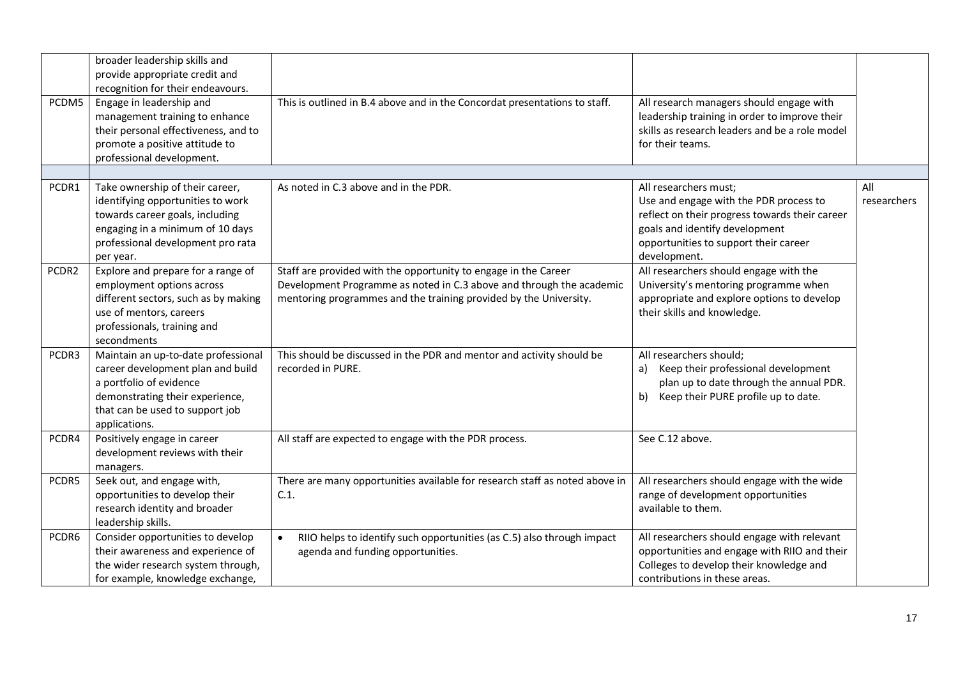| PCDM5 | broader leadership skills and<br>provide appropriate credit and<br>recognition for their endeavours.<br>Engage in leadership and<br>management training to enhance<br>their personal effectiveness, and to<br>promote a positive attitude to<br>professional development. | This is outlined in B.4 above and in the Concordat presentations to staff.                                                                                                                                   | All research managers should engage with<br>leadership training in order to improve their<br>skills as research leaders and be a role model<br>for their teams.                                              |                    |
|-------|---------------------------------------------------------------------------------------------------------------------------------------------------------------------------------------------------------------------------------------------------------------------------|--------------------------------------------------------------------------------------------------------------------------------------------------------------------------------------------------------------|--------------------------------------------------------------------------------------------------------------------------------------------------------------------------------------------------------------|--------------------|
|       |                                                                                                                                                                                                                                                                           |                                                                                                                                                                                                              |                                                                                                                                                                                                              |                    |
| PCDR1 | Take ownership of their career,<br>identifying opportunities to work<br>towards career goals, including<br>engaging in a minimum of 10 days<br>professional development pro rata<br>per year.                                                                             | As noted in C.3 above and in the PDR.                                                                                                                                                                        | All researchers must;<br>Use and engage with the PDR process to<br>reflect on their progress towards their career<br>goals and identify development<br>opportunities to support their career<br>development. | All<br>researchers |
| PCDR2 | Explore and prepare for a range of<br>employment options across<br>different sectors, such as by making<br>use of mentors, careers<br>professionals, training and<br>secondments                                                                                          | Staff are provided with the opportunity to engage in the Career<br>Development Programme as noted in C.3 above and through the academic<br>mentoring programmes and the training provided by the University. | All researchers should engage with the<br>University's mentoring programme when<br>appropriate and explore options to develop<br>their skills and knowledge.                                                 |                    |
| PCDR3 | Maintain an up-to-date professional<br>career development plan and build<br>a portfolio of evidence<br>demonstrating their experience,<br>that can be used to support job<br>applications.                                                                                | This should be discussed in the PDR and mentor and activity should be<br>recorded in PURE.                                                                                                                   | All researchers should;<br>Keep their professional development<br>a)<br>plan up to date through the annual PDR.<br>Keep their PURE profile up to date.<br>b)                                                 |                    |
| PCDR4 | Positively engage in career<br>development reviews with their<br>managers.                                                                                                                                                                                                | All staff are expected to engage with the PDR process.                                                                                                                                                       | See C.12 above.                                                                                                                                                                                              |                    |
| PCDR5 | Seek out, and engage with,<br>opportunities to develop their<br>research identity and broader<br>leadership skills.                                                                                                                                                       | There are many opportunities available for research staff as noted above in<br>C.1.                                                                                                                          | All researchers should engage with the wide<br>range of development opportunities<br>available to them.                                                                                                      |                    |
| PCDR6 | Consider opportunities to develop<br>their awareness and experience of<br>the wider research system through,<br>for example, knowledge exchange,                                                                                                                          | RIIO helps to identify such opportunities (as C.5) also through impact<br>$\bullet$<br>agenda and funding opportunities.                                                                                     | All researchers should engage with relevant<br>opportunities and engage with RIIO and their<br>Colleges to develop their knowledge and<br>contributions in these areas.                                      |                    |